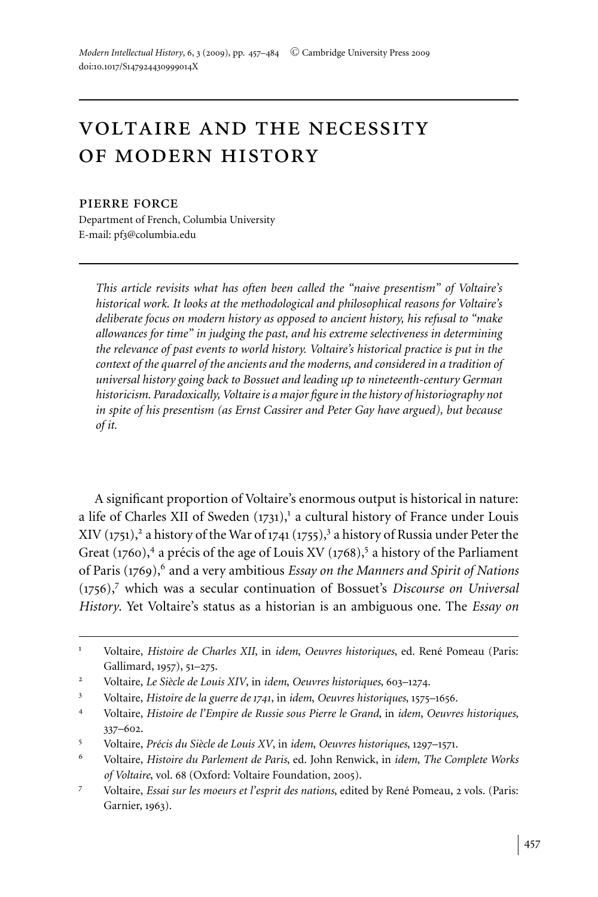# voltaire and the necessity of modern history

### pierre force

Department of French, Columbia University E-mail: pf3@columbia.edu

*This article revisits what has often been called the "naive presentism" of Voltaire's historical work. It looks at the methodological and philosophical reasons for Voltaire's deliberate focus on modern history as opposed to ancient history, his refusal to "make allowances for time" in judging the past, and his extreme selectiveness in determining the relevance of past events to world history. Voltaire's historical practice is put in the context of the quarrel of the ancients and the moderns, and considered in a tradition of universal history going back to Bossuet and leading up to nineteenth-century German historicism. Paradoxically, Voltaire is a major figure in the history of historiography not in spite of his presentism (as Ernst Cassirer and Peter Gay have argued), but because of it.*

A significant proportion of Voltaire's enormous output is historical in nature: a life of Charles XII of Sweden  $(1731)^1$  a cultural history of France under Louis XIV  $(1751)^2$  a history of the War of 1741  $(1755)^3$  a history of Russia under Peter the Great  $(1760)$ ,<sup>4</sup> a précis of the age of Louis XV  $(1768)$ ,<sup>5</sup> a history of the Parliament of Paris (1769),<sup>6</sup> and a very ambitious *Essay on the Manners and Spirit of Nations* (1756),<sup>7</sup> which was a secular continuation of Bossuet's *Discourse on Universal History*. Yet Voltaire's status as a historian is an ambiguous one. The *Essay on*

<sup>1</sup> Voltaire, *Histoire de Charles XII*, in *idem*, *Oeuvres historiques*, ed. Rene Pomeau (Paris: ´ Gallimard, 1957), 51–275.

<sup>&</sup>lt;sup>2</sup> Voltaire, *Le Siècle de Louis XIV*, in *idem*, *Oeuvres historiques*, 603-1274.

<sup>3</sup> Voltaire, *Histoire de la guerre de 1741*, in *idem*, *Oeuvres historiques*, 1575–1656.

<sup>4</sup> Voltaire, *Histoire de l'Empire de Russie sous Pierre le Grand*, in *idem*, *Oeuvres historiques*, 337–602.

<sup>5</sup> Voltaire, *Pr´ecis du Si`ecle de Louis XV*, in *idem*, *Oeuvres historiques*, 1297–1571.

<sup>6</sup> Voltaire, *Histoire du Parlement de Paris*, ed. John Renwick, in *idem*, *The Complete Works of Voltaire*, vol. 68 (Oxford: Voltaire Foundation, 2005).

<sup>&</sup>lt;sup>7</sup> Voltaire, *Essai sur les moeurs et l'esprit des nations*, edited by René Pomeau, 2 vols. (Paris: Garnier, 1963).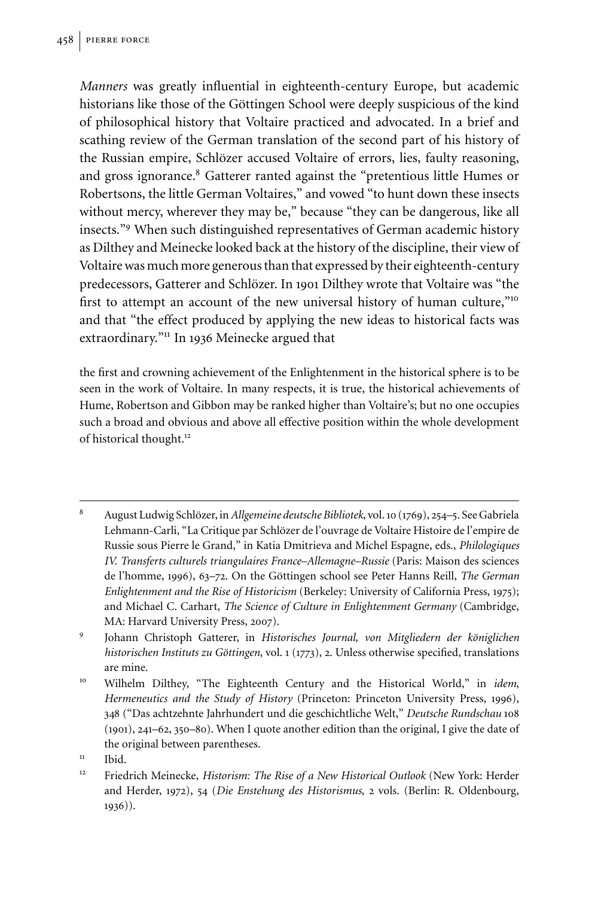*Manners* was greatly influential in eighteenth-century Europe, but academic historians like those of the Göttingen School were deeply suspicious of the kind of philosophical history that Voltaire practiced and advocated. In a brief and scathing review of the German translation of the second part of his history of the Russian empire, Schlözer accused Voltaire of errors, lies, faulty reasoning, and gross ignorance.<sup>8</sup> Gatterer ranted against the "pretentious little Humes or Robertsons, the little German Voltaires," and vowed "to hunt down these insects without mercy, wherever they may be," because "they can be dangerous, like all insects."<sup>9</sup> When such distinguished representatives of German academic history as Dilthey and Meinecke looked back at the history of the discipline, their view of Voltaire was much more generous than that expressed by their eighteenth-century predecessors, Gatterer and Schlözer. In 1901 Dilthey wrote that Voltaire was "the first to attempt an account of the new universal history of human culture,"<sup>10</sup> and that "the effect produced by applying the new ideas to historical facts was extraordinary."<sup>11</sup> In 1936 Meinecke argued that

the first and crowning achievement of the Enlightenment in the historical sphere is to be seen in the work of Voltaire. In many respects, it is true, the historical achievements of Hume, Robertson and Gibbon may be ranked higher than Voltaire's; but no one occupies such a broad and obvious and above all effective position within the whole development of historical thought.<sup>12</sup>

- 8 August Ludwig Schlözer, in Allgemeine deutsche Bibliotek, vol. 10 (1769), 254–5. See Gabriela Lehmann-Carli, "La Critique par Schlözer de l'ouvrage de Voltaire Histoire de l'empire de Russie sous Pierre le Grand," in Katia Dmitrieva and Michel Espagne, eds., *Philologiques IV. Transferts culturels triangulaires France–Allemagne–Russie* (Paris: Maison des sciences de l'homme, 1996), 63–72. On the Göttingen school see Peter Hanns Reill, *The German Enlightenment and the Rise of Historicism* (Berkeley: University of California Press, 1975); and Michael C. Carhart, *The Science of Culture in Enlightenment Germany* (Cambridge, MA: Harvard University Press, 2007).
- <sup>9</sup> Johann Christoph Gatterer, in *Historisches Journal, von Mitgliedern der königlichen historischen Instituts zu Göttingen*, vol. 1 (1773), 2. Unless otherwise specified, translations are mine.
- <sup>10</sup> Wilhelm Dilthey, "The Eighteenth Century and the Historical World," in *idem*, *Hermeneutics and the Study of History* (Princeton: Princeton University Press, 1996), 348 ("Das achtzehnte Jahrhundert und die geschichtliche Welt," *Deutsche Rundschau* 108 (1901), 241–62, 350–80). When I quote another edition than the original, I give the date of the original between parentheses.

<sup>12</sup> Friedrich Meinecke, *Historism: The Rise of a New Historical Outlook* (New York: Herder and Herder, 1972), 54 (*Die Enstehung des Historismus*, 2 vols. (Berlin: R. Oldenbourg, 1936)).

 $11$  Ibid.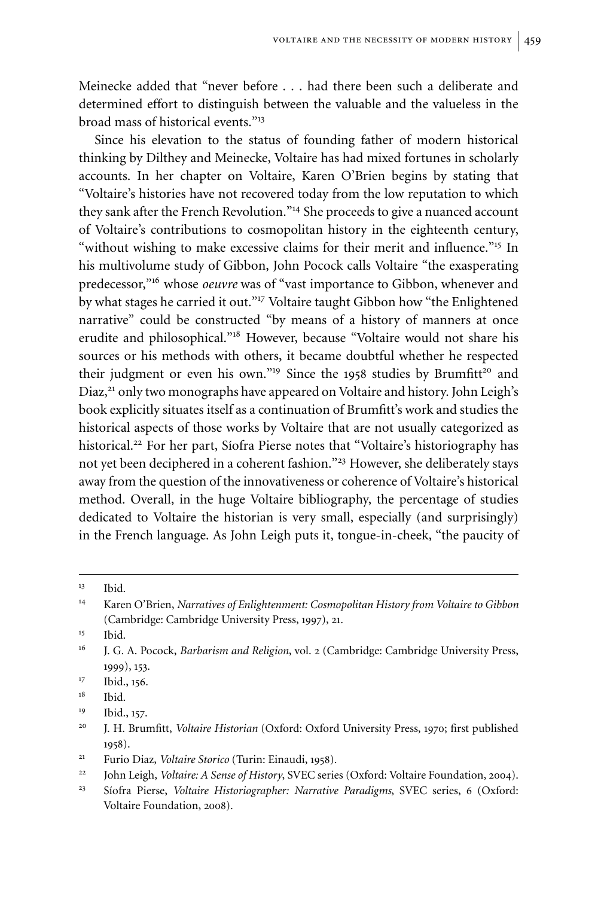Meinecke added that "never before . . . had there been such a deliberate and determined effort to distinguish between the valuable and the valueless in the broad mass of historical events."<sup>13</sup>

Since his elevation to the status of founding father of modern historical thinking by Dilthey and Meinecke, Voltaire has had mixed fortunes in scholarly accounts. In her chapter on Voltaire, Karen O'Brien begins by stating that "Voltaire's histories have not recovered today from the low reputation to which they sank after the French Revolution."<sup>14</sup> She proceeds to give a nuanced account of Voltaire's contributions to cosmopolitan history in the eighteenth century, "without wishing to make excessive claims for their merit and influence."<sup>15</sup> In his multivolume study of Gibbon, John Pocock calls Voltaire "the exasperating predecessor,"<sup>16</sup> whose *oeuvre* was of "vast importance to Gibbon, whenever and by what stages he carried it out."<sup>17</sup> Voltaire taught Gibbon how "the Enlightened narrative" could be constructed "by means of a history of manners at once erudite and philosophical."<sup>18</sup> However, because "Voltaire would not share his sources or his methods with others, it became doubtful whether he respected their judgment or even his own."<sup>19</sup> Since the 1958 studies by Brumfitt<sup>20</sup> and Diaz,<sup>21</sup> only two monographs have appeared on Voltaire and history. John Leigh's book explicitly situates itself as a continuation of Brumfitt's work and studies the historical aspects of those works by Voltaire that are not usually categorized as historical.<sup>22</sup> For her part, Síofra Pierse notes that "Voltaire's historiography has not yet been deciphered in a coherent fashion."<sup>23</sup> However, she deliberately stays away from the question of the innovativeness or coherence of Voltaire's historical method. Overall, in the huge Voltaire bibliography, the percentage of studies dedicated to Voltaire the historian is very small, especially (and surprisingly) in the French language. As John Leigh puts it, tongue-in-cheek, "the paucity of

 $13$  Ibid.

<sup>14</sup> Karen O'Brien, *Narratives of Enlightenment: Cosmopolitan History from Voltaire to Gibbon* (Cambridge: Cambridge University Press, 1997), 21.

<sup>15</sup> Ibid.

<sup>&</sup>lt;sup>16</sup> J. G. A. Pocock, *Barbarism and Religion*, vol. 2 (Cambridge: Cambridge University Press, 1999), 153.

<sup>17</sup> Ibid., 156.

<sup>18</sup> Ibid.

<sup>19</sup> Ibid., 157.

<sup>20</sup> J. H. Brumfitt, *Voltaire Historian* (Oxford: Oxford University Press, 1970; first published 1958).

<sup>21</sup> Furio Diaz, *Voltaire Storico* (Turin: Einaudi, 1958).

<sup>22</sup> John Leigh, *Voltaire: A Sense of History*, SVEC series (Oxford: Voltaire Foundation, 2004).

<sup>&</sup>lt;sup>23</sup> Síofra Pierse, *Voltaire Historiographer: Narrative Paradigms*, SVEC series, 6 (Oxford: Voltaire Foundation, 2008).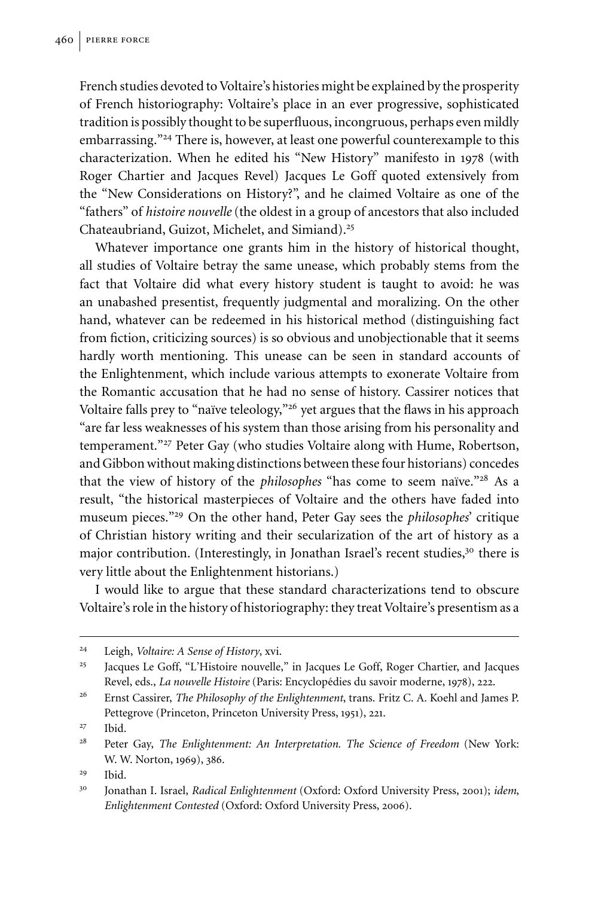French studies devoted to Voltaire's histories might be explained by the prosperity of French historiography: Voltaire's place in an ever progressive, sophisticated tradition is possibly thought to be superfluous, incongruous, perhaps even mildly embarrassing."<sup>24</sup> There is, however, at least one powerful counterexample to this characterization. When he edited his "New History" manifesto in 1978 (with Roger Chartier and Jacques Revel) Jacques Le Goff quoted extensively from the "New Considerations on History?", and he claimed Voltaire as one of the "fathers" of *histoire nouvelle* (the oldest in a group of ancestors that also included Chateaubriand, Guizot, Michelet, and Simiand).<sup>25</sup>

Whatever importance one grants him in the history of historical thought, all studies of Voltaire betray the same unease, which probably stems from the fact that Voltaire did what every history student is taught to avoid: he was an unabashed presentist, frequently judgmental and moralizing. On the other hand, whatever can be redeemed in his historical method (distinguishing fact from fiction, criticizing sources) is so obvious and unobjectionable that it seems hardly worth mentioning. This unease can be seen in standard accounts of the Enlightenment, which include various attempts to exonerate Voltaire from the Romantic accusation that he had no sense of history. Cassirer notices that Voltaire falls prey to "naïve teleology,"<sup>26</sup> yet argues that the flaws in his approach "are far less weaknesses of his system than those arising from his personality and temperament."<sup>27</sup> Peter Gay (who studies Voltaire along with Hume, Robertson, and Gibbon without making distinctions between these four historians) concedes that the view of history of the *philosophes* "has come to seem naïve."<sup>28</sup> As a result, "the historical masterpieces of Voltaire and the others have faded into museum pieces."<sup>29</sup> On the other hand, Peter Gay sees the *philosophes*' critique of Christian history writing and their secularization of the art of history as a major contribution. (Interestingly, in Jonathan Israel's recent studies,<sup>30</sup> there is very little about the Enlightenment historians.)

I would like to argue that these standard characterizations tend to obscure Voltaire's role in the history of historiography: they treat Voltaire's presentism as a

<sup>24</sup> Leigh, *Voltaire: A Sense of History*, xvi.

<sup>&</sup>lt;sup>25</sup> Jacques Le Goff, "L'Histoire nouvelle," in Jacques Le Goff, Roger Chartier, and Jacques Revel, eds., *La nouvelle Histoire* (Paris: Encyclopédies du savoir moderne, 1978), 222.

<sup>26</sup> Ernst Cassirer, *The Philosophy of the Enlightenment*, trans. Fritz C. A. Koehl and James P. Pettegrove (Princeton, Princeton University Press, 1951), 221.

<sup>27</sup> Ibid.

<sup>28</sup> Peter Gay, *The Enlightenment: An Interpretation. The Science of Freedom* (New York: W. W. Norton, 1969), 386.

<sup>29</sup> Ibid.

<sup>30</sup> Jonathan I. Israel, *Radical Enlightenment* (Oxford: Oxford University Press, 2001); *idem*, *Enlightenment Contested* (Oxford: Oxford University Press, 2006).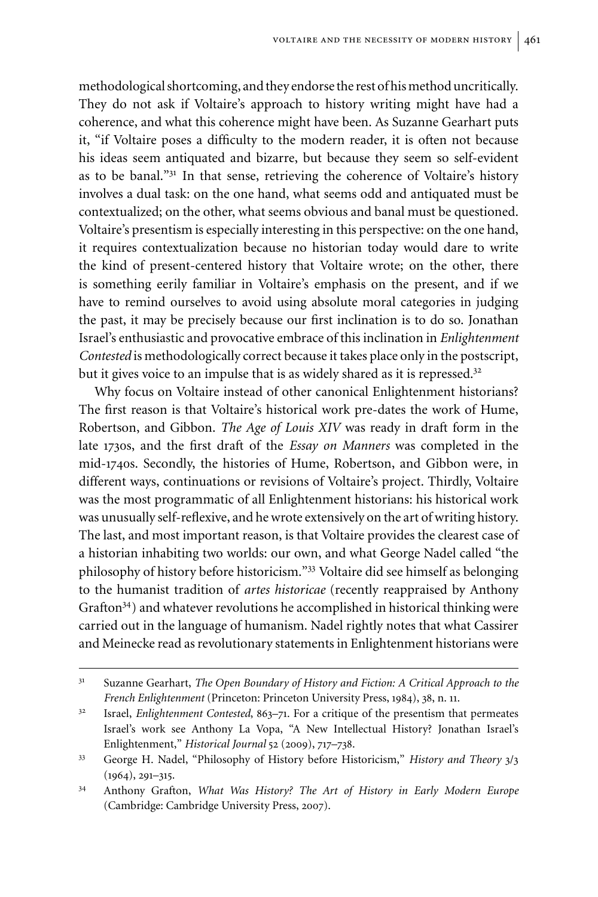methodological shortcoming, and they endorse the rest of his method uncritically. They do not ask if Voltaire's approach to history writing might have had a coherence, and what this coherence might have been. As Suzanne Gearhart puts it, "if Voltaire poses a difficulty to the modern reader, it is often not because his ideas seem antiquated and bizarre, but because they seem so self-evident as to be banal."<sup>31</sup> In that sense, retrieving the coherence of Voltaire's history involves a dual task: on the one hand, what seems odd and antiquated must be contextualized; on the other, what seems obvious and banal must be questioned. Voltaire's presentism is especially interesting in this perspective: on the one hand, it requires contextualization because no historian today would dare to write the kind of present-centered history that Voltaire wrote; on the other, there is something eerily familiar in Voltaire's emphasis on the present, and if we have to remind ourselves to avoid using absolute moral categories in judging the past, it may be precisely because our first inclination is to do so. Jonathan Israel's enthusiastic and provocative embrace of this inclination in *Enlightenment Contested* is methodologically correct because it takes place only in the postscript, but it gives voice to an impulse that is as widely shared as it is repressed.<sup>32</sup>

Why focus on Voltaire instead of other canonical Enlightenment historians? The first reason is that Voltaire's historical work pre-dates the work of Hume, Robertson, and Gibbon. *The Age of Louis XIV* was ready in draft form in the late 1730s, and the first draft of the *Essay on Manners* was completed in the mid-1740s. Secondly, the histories of Hume, Robertson, and Gibbon were, in different ways, continuations or revisions of Voltaire's project. Thirdly, Voltaire was the most programmatic of all Enlightenment historians: his historical work was unusually self-reflexive, and he wrote extensively on the art of writing history. The last, and most important reason, is that Voltaire provides the clearest case of a historian inhabiting two worlds: our own, and what George Nadel called "the philosophy of history before historicism."<sup>33</sup> Voltaire did see himself as belonging to the humanist tradition of *artes historicae* (recently reappraised by Anthony Grafton<sup>34</sup>) and whatever revolutions he accomplished in historical thinking were carried out in the language of humanism. Nadel rightly notes that what Cassirer and Meinecke read as revolutionary statements in Enlightenment historians were

<sup>31</sup> Suzanne Gearhart, *The Open Boundary of History and Fiction: A Critical Approach to the French Enlightenment* (Princeton: Princeton University Press, 1984), 38, n. 11.

<sup>&</sup>lt;sup>32</sup> Israel, *Enlightenment Contested*, 863-71. For a critique of the presentism that permeates Israel's work see Anthony La Vopa, "A New Intellectual History? Jonathan Israel's Enlightenment," *Historical Journal* 52 (2009), 717–738.

<sup>33</sup> George H. Nadel, "Philosophy of History before Historicism," *History and Theory* 3/3 (1964), 291–315.

<sup>34</sup> Anthony Grafton, *What Was History? The Art of History in Early Modern Europe* (Cambridge: Cambridge University Press, 2007).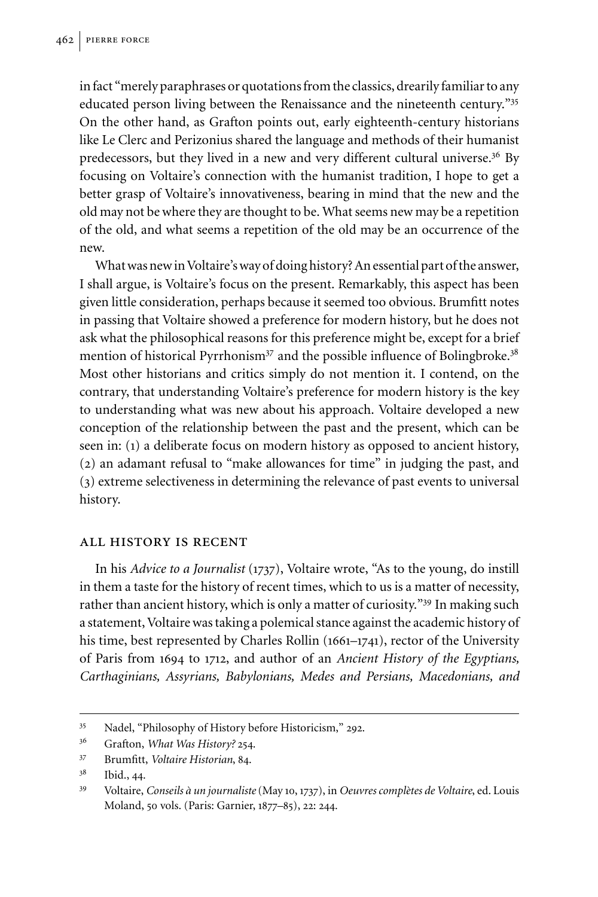in fact "merely paraphrases or quotations from the classics, drearily familiar to any educated person living between the Renaissance and the nineteenth century."<sup>35</sup> On the other hand, as Grafton points out, early eighteenth-century historians like Le Clerc and Perizonius shared the language and methods of their humanist predecessors, but they lived in a new and very different cultural universe.<sup>36</sup> By focusing on Voltaire's connection with the humanist tradition, I hope to get a better grasp of Voltaire's innovativeness, bearing in mind that the new and the old may not be where they are thought to be. What seems new may be a repetition of the old, and what seems a repetition of the old may be an occurrence of the new.

What was new in Voltaire's way of doing history? An essential part of the answer, I shall argue, is Voltaire's focus on the present. Remarkably, this aspect has been given little consideration, perhaps because it seemed too obvious. Brumfitt notes in passing that Voltaire showed a preference for modern history, but he does not ask what the philosophical reasons for this preference might be, except for a brief mention of historical Pyrrhonism<sup>37</sup> and the possible influence of Bolingbroke.<sup>38</sup> Most other historians and critics simply do not mention it. I contend, on the contrary, that understanding Voltaire's preference for modern history is the key to understanding what was new about his approach. Voltaire developed a new conception of the relationship between the past and the present, which can be seen in: (1) a deliberate focus on modern history as opposed to ancient history, (2) an adamant refusal to "make allowances for time" in judging the past, and (3) extreme selectiveness in determining the relevance of past events to universal history.

## all history is recent

In his *Advice to a Journalist* (1737), Voltaire wrote, "As to the young, do instill in them a taste for the history of recent times, which to us is a matter of necessity, rather than ancient history, which is only a matter of curiosity."<sup>39</sup> In making such a statement, Voltaire was taking a polemical stance against the academic history of his time, best represented by Charles Rollin (1661–1741), rector of the University of Paris from 1694 to 1712, and author of an *Ancient History of the Egyptians, Carthaginians, Assyrians, Babylonians, Medes and Persians, Macedonians, and*

<sup>35</sup> Nadel, "Philosophy of History before Historicism," 292.

<sup>36</sup> Grafton, *What Was History?* 254.

<sup>37</sup> Brumfitt, *Voltaire Historian*, 84.

<sup>38</sup> Ibid., 44.

<sup>39</sup> Voltaire, *Conseils `a un journaliste*(May 10, 1737), in *Oeuvres compl`etes de Voltaire*, ed. Louis Moland, 50 vols. (Paris: Garnier, 1877–85), 22: 244.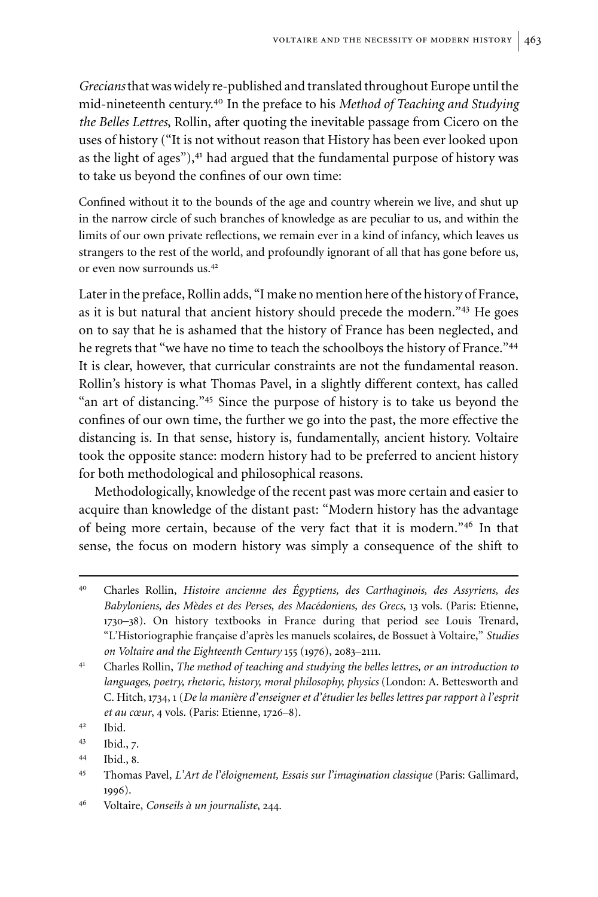*Grecians*that was widely re-published and translated throughout Europe until the mid-nineteenth century.<sup>40</sup> In the preface to his *Method of Teaching and Studying the Belles Lettres*, Rollin, after quoting the inevitable passage from Cicero on the uses of history ("It is not without reason that History has been ever looked upon as the light of ages"),<sup>41</sup> had argued that the fundamental purpose of history was to take us beyond the confines of our own time:

Confined without it to the bounds of the age and country wherein we live, and shut up in the narrow circle of such branches of knowledge as are peculiar to us, and within the limits of our own private reflections, we remain ever in a kind of infancy, which leaves us strangers to the rest of the world, and profoundly ignorant of all that has gone before us, or even now surrounds us.<sup>42</sup>

Later in the preface, Rollin adds, "I make no mention here of the history of France, as it is but natural that ancient history should precede the modern."<sup>43</sup> He goes on to say that he is ashamed that the history of France has been neglected, and he regrets that "we have no time to teach the schoolboys the history of France."<sup>44</sup> It is clear, however, that curricular constraints are not the fundamental reason. Rollin's history is what Thomas Pavel, in a slightly different context, has called "an art of distancing."<sup>45</sup> Since the purpose of history is to take us beyond the confines of our own time, the further we go into the past, the more effective the distancing is. In that sense, history is, fundamentally, ancient history. Voltaire took the opposite stance: modern history had to be preferred to ancient history for both methodological and philosophical reasons.

Methodologically, knowledge of the recent past was more certain and easier to acquire than knowledge of the distant past: "Modern history has the advantage of being more certain, because of the very fact that it is modern."<sup>46</sup> In that sense, the focus on modern history was simply a consequence of the shift to

<sup>40</sup> Charles Rollin, *Histoire ancienne des Egyptiens, des Carthaginois, des Assyriens, des ´ Babyloniens, des M`edes et des Perses, des Mac´edoniens, des Grecs*, 13 vols. (Paris: Etienne, 1730–38). On history textbooks in France during that period see Louis Trenard, "L'Historiographie française d'après les manuels scolaires, de Bossuet à Voltaire," Studies *on Voltaire and the Eighteenth Century* 155 (1976), 2083–2111.

<sup>41</sup> Charles Rollin, *The method of teaching and studying the belles lettres, or an introduction to languages, poetry, rhetoric, history, moral philosophy, physics* (London: A. Bettesworth and C. Hitch, 1734, 1 (*De la mani`ere d'enseigner et d'´etudier les belles lettres par rapport `a l'esprit et au cœur*, 4 vols. (Paris: Etienne, 1726–8).

<sup>42</sup> Ibid.

<sup>43</sup> Ibid., 7.

<sup>44</sup> Ibid., 8.

<sup>45</sup> Thomas Pavel, *L'Art de l'´eloignement, Essais sur l'imagination classique* (Paris: Gallimard, 1996).

<sup>46</sup> Voltaire, *Conseils `a un journaliste*, 244.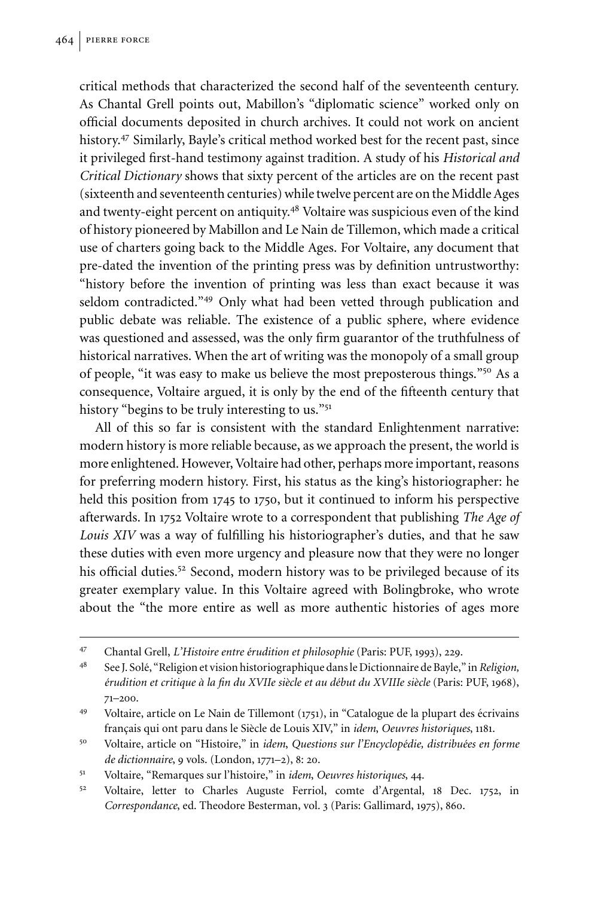critical methods that characterized the second half of the seventeenth century. As Chantal Grell points out, Mabillon's "diplomatic science" worked only on official documents deposited in church archives. It could not work on ancient history.<sup>47</sup> Similarly, Bayle's critical method worked best for the recent past, since it privileged first-hand testimony against tradition. A study of his *Historical and Critical Dictionary* shows that sixty percent of the articles are on the recent past (sixteenth and seventeenth centuries) while twelve percent are on the Middle Ages and twenty-eight percent on antiquity.<sup>48</sup> Voltaire was suspicious even of the kind of history pioneered by Mabillon and Le Nain de Tillemon, which made a critical use of charters going back to the Middle Ages. For Voltaire, any document that pre-dated the invention of the printing press was by definition untrustworthy: "history before the invention of printing was less than exact because it was seldom contradicted."<sup>49</sup> Only what had been vetted through publication and public debate was reliable. The existence of a public sphere, where evidence was questioned and assessed, was the only firm guarantor of the truthfulness of historical narratives. When the art of writing was the monopoly of a small group of people, "it was easy to make us believe the most preposterous things."<sup>50</sup> As a consequence, Voltaire argued, it is only by the end of the fifteenth century that history "begins to be truly interesting to us."<sup>51</sup>

All of this so far is consistent with the standard Enlightenment narrative: modern history is more reliable because, as we approach the present, the world is more enlightened. However, Voltaire had other, perhaps more important, reasons for preferring modern history. First, his status as the king's historiographer: he held this position from 1745 to 1750, but it continued to inform his perspective afterwards. In 1752 Voltaire wrote to a correspondent that publishing *The Age of Louis XIV* was a way of fulfilling his historiographer's duties, and that he saw these duties with even more urgency and pleasure now that they were no longer his official duties.<sup>52</sup> Second, modern history was to be privileged because of its greater exemplary value. In this Voltaire agreed with Bolingbroke, who wrote about the "the more entire as well as more authentic histories of ages more

<sup>47</sup> Chantal Grell, *L'Histoire entre ´erudition et philosophie* (Paris: PUF, 1993), 229.

<sup>&</sup>lt;sup>48</sup> See J. Solé, "Religion et vision historiographique dans le Dictionnaire de Bayle," in *Religion*, érudition et critique à la fin du XVIIe siècle et au début du XVIIIe siècle (Paris: PUF, 1968), 71–200.

<sup>&</sup>lt;sup>49</sup> Voltaire, article on Le Nain de Tillemont (1751), in "Catalogue de la plupart des écrivains français qui ont paru dans le Siècle de Louis XIV," in *idem*, *Oeuvres historiques*, 1181.

<sup>&</sup>lt;sup>50</sup> Voltaire, article on "Histoire," in *idem*, *Questions sur l'Encyclopédie, distribuées en forme de dictionnaire*, 9 vols. (London, 1771–2), 8: 20.

<sup>51</sup> Voltaire, "Remarques sur l'histoire," in *idem*, *Oeuvres historiques*, 44.

<sup>52</sup> Voltaire, letter to Charles Auguste Ferriol, comte d'Argental, 18 Dec. 1752, in *Correspondance*, ed. Theodore Besterman, vol. 3 (Paris: Gallimard, 1975), 860.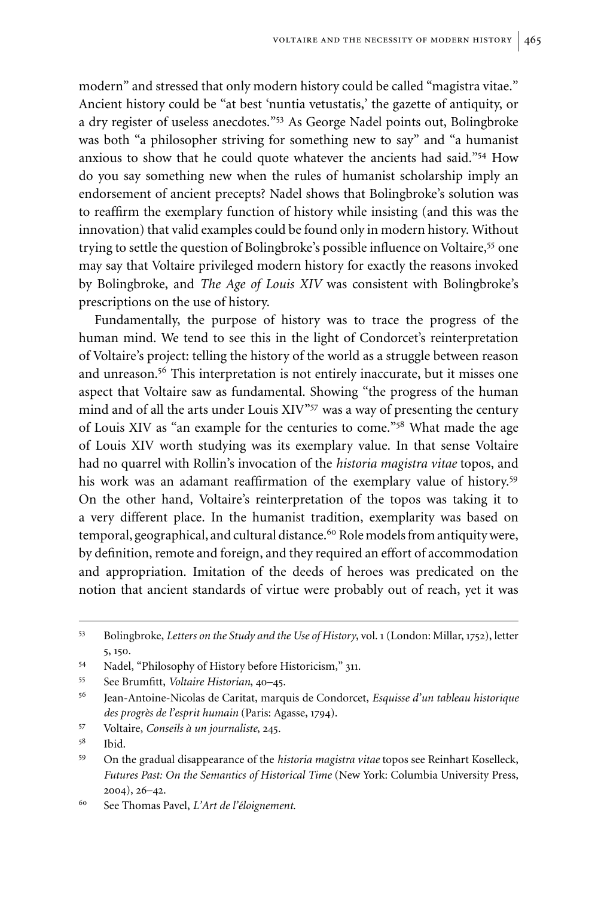modern" and stressed that only modern history could be called "magistra vitae." Ancient history could be "at best 'nuntia vetustatis,' the gazette of antiquity, or a dry register of useless anecdotes."<sup>53</sup> As George Nadel points out, Bolingbroke was both "a philosopher striving for something new to say" and "a humanist anxious to show that he could quote whatever the ancients had said."<sup>54</sup> How do you say something new when the rules of humanist scholarship imply an endorsement of ancient precepts? Nadel shows that Bolingbroke's solution was to reaffirm the exemplary function of history while insisting (and this was the innovation) that valid examples could be found only in modern history. Without trying to settle the question of Bolingbroke's possible influence on Voltaire,<sup>55</sup> one may say that Voltaire privileged modern history for exactly the reasons invoked by Bolingbroke, and *The Age of Louis XIV* was consistent with Bolingbroke's prescriptions on the use of history.

Fundamentally, the purpose of history was to trace the progress of the human mind. We tend to see this in the light of Condorcet's reinterpretation of Voltaire's project: telling the history of the world as a struggle between reason and unreason.<sup>56</sup> This interpretation is not entirely inaccurate, but it misses one aspect that Voltaire saw as fundamental. Showing "the progress of the human mind and of all the arts under Louis XIV"57 was a way of presenting the century of Louis XIV as "an example for the centuries to come."<sup>58</sup> What made the age of Louis XIV worth studying was its exemplary value. In that sense Voltaire had no quarrel with Rollin's invocation of the *historia magistra vitae* topos, and his work was an adamant reaffirmation of the exemplary value of history.<sup>59</sup> On the other hand, Voltaire's reinterpretation of the topos was taking it to a very different place. In the humanist tradition, exemplarity was based on temporal, geographical, and cultural distance.<sup>60</sup> Role models from antiquity were, by definition, remote and foreign, and they required an effort of accommodation and appropriation. Imitation of the deeds of heroes was predicated on the notion that ancient standards of virtue were probably out of reach, yet it was

<sup>53</sup> Bolingbroke, *Letters on the Study and the Use of History*, vol. 1 (London: Millar, 1752), letter 5, 150.

<sup>54</sup> Nadel, "Philosophy of History before Historicism," 311.

<sup>55</sup> See Brumfitt, *Voltaire Historian*, 40–45.

<sup>56</sup> Jean-Antoine-Nicolas de Caritat, marquis de Condorcet, *Esquisse d'un tableau historique des progr`es de l'esprit humain* (Paris: Agasse, 1794).

<sup>57</sup> Voltaire, *Conseils `a un journaliste*, 245.

<sup>58</sup> Ibid.

<sup>59</sup> On the gradual disappearance of the *historia magistra vitae* topos see Reinhart Koselleck, *Futures Past: On the Semantics of Historical Time* (New York: Columbia University Press, 2004), 26–42.

<sup>&</sup>lt;sup>60</sup> See Thomas Pavel, *L'Art de l'éloignement*.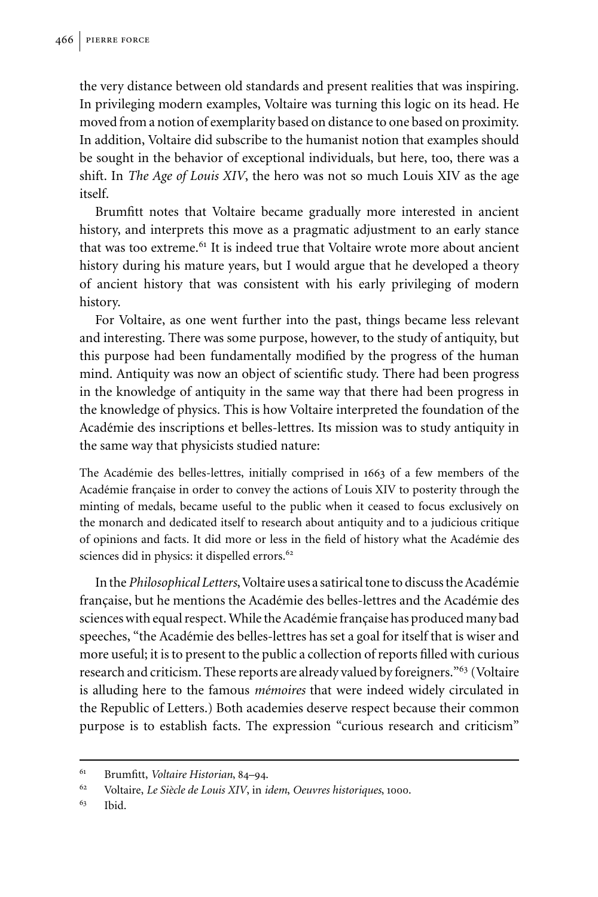the very distance between old standards and present realities that was inspiring. In privileging modern examples, Voltaire was turning this logic on its head. He moved from a notion of exemplarity based on distance to one based on proximity. In addition, Voltaire did subscribe to the humanist notion that examples should be sought in the behavior of exceptional individuals, but here, too, there was a shift. In *The Age of Louis XIV*, the hero was not so much Louis XIV as the age itself.

Brumfitt notes that Voltaire became gradually more interested in ancient history, and interprets this move as a pragmatic adjustment to an early stance that was too extreme.<sup>61</sup> It is indeed true that Voltaire wrote more about ancient history during his mature years, but I would argue that he developed a theory of ancient history that was consistent with his early privileging of modern history.

For Voltaire, as one went further into the past, things became less relevant and interesting. There was some purpose, however, to the study of antiquity, but this purpose had been fundamentally modified by the progress of the human mind. Antiquity was now an object of scientific study. There had been progress in the knowledge of antiquity in the same way that there had been progress in the knowledge of physics. This is how Voltaire interpreted the foundation of the Academie des inscriptions et belles-lettres. Its mission was to study antiquity in ´ the same way that physicists studied nature:

The Académie des belles-lettres, initially comprised in 1663 of a few members of the Académie française in order to convey the actions of Louis XIV to posterity through the minting of medals, became useful to the public when it ceased to focus exclusively on the monarch and dedicated itself to research about antiquity and to a judicious critique of opinions and facts. It did more or less in the field of history what the Academie des ´ sciences did in physics: it dispelled errors.<sup>62</sup>

In the*Philosophical Letters*, Voltaire uses a satirical tone to discuss the Academie ´ française, but he mentions the Académie des belles-lettres and the Académie des sciences with equal respect. While the Académie française has produced many bad speeches, "the Académie des belles-lettres has set a goal for itself that is wiser and more useful; it is to present to the public a collection of reports filled with curious research and criticism. These reports are already valued by foreigners."<sup>63</sup> (Voltaire is alluding here to the famous *mémoires* that were indeed widely circulated in the Republic of Letters.) Both academies deserve respect because their common purpose is to establish facts. The expression "curious research and criticism"

<sup>61</sup> Brumfitt, *Voltaire Historian*, 84–94.

<sup>62</sup> Voltaire, *Le Si`ecle de Louis XIV*, in *idem*, *Oeuvres historiques*, 1000.

 $63$  Ibid.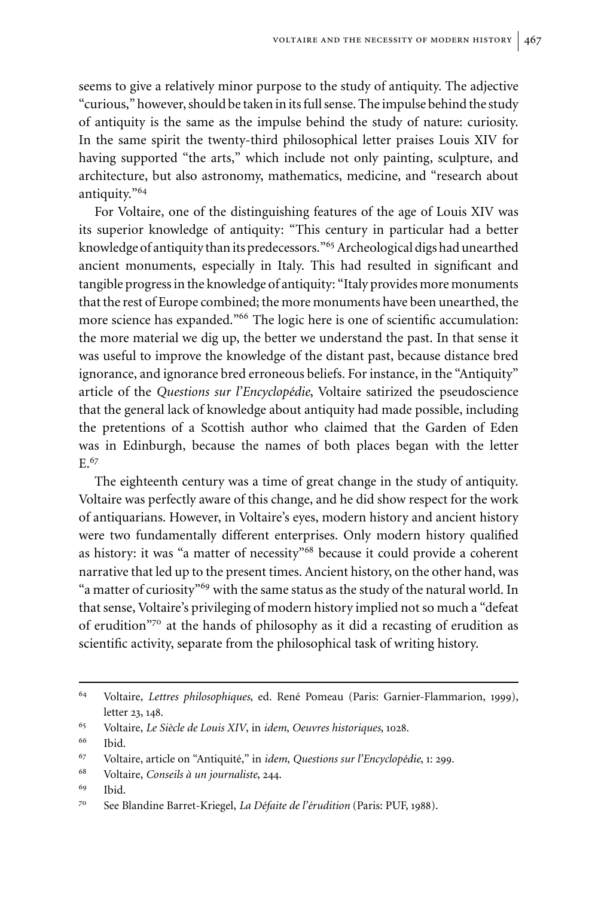seems to give a relatively minor purpose to the study of antiquity. The adjective "curious," however, should be taken in its full sense. The impulse behind the study of antiquity is the same as the impulse behind the study of nature: curiosity. In the same spirit the twenty-third philosophical letter praises Louis XIV for having supported "the arts," which include not only painting, sculpture, and architecture, but also astronomy, mathematics, medicine, and "research about antiquity."<sup>64</sup>

For Voltaire, one of the distinguishing features of the age of Louis XIV was its superior knowledge of antiquity: "This century in particular had a better knowledge of antiquity than its predecessors."<sup>65</sup> Archeological digs had unearthed ancient monuments, especially in Italy. This had resulted in significant and tangible progress in the knowledge of antiquity: "Italy provides more monuments that the rest of Europe combined; the more monuments have been unearthed, the more science has expanded."<sup>66</sup> The logic here is one of scientific accumulation: the more material we dig up, the better we understand the past. In that sense it was useful to improve the knowledge of the distant past, because distance bred ignorance, and ignorance bred erroneous beliefs. For instance, in the "Antiquity" article of the *Questions sur l'Encyclopédie*, Voltaire satirized the pseudoscience that the general lack of knowledge about antiquity had made possible, including the pretentions of a Scottish author who claimed that the Garden of Eden was in Edinburgh, because the names of both places began with the letter  $E.67$ 

The eighteenth century was a time of great change in the study of antiquity. Voltaire was perfectly aware of this change, and he did show respect for the work of antiquarians. However, in Voltaire's eyes, modern history and ancient history were two fundamentally different enterprises. Only modern history qualified as history: it was "a matter of necessity"<sup>68</sup> because it could provide a coherent narrative that led up to the present times. Ancient history, on the other hand, was "a matter of curiosity"<sup>69</sup> with the same status as the study of the natural world. In that sense, Voltaire's privileging of modern history implied not so much a "defeat of erudition"<sup>70</sup> at the hands of philosophy as it did a recasting of erudition as scientific activity, separate from the philosophical task of writing history.

<sup>&</sup>lt;sup>64</sup> Voltaire, *Lettres philosophiques*, ed. René Pomeau (Paris: Garnier-Flammarion, 1999), letter 23, 148.

<sup>65</sup> Voltaire, *Le Si`ecle de Louis XIV*, in *idem*, *Oeuvres historiques*, 1028.

<sup>66</sup> Ibid.

<sup>&</sup>lt;sup>67</sup> Voltaire, article on "Antiquité," in *idem*, *Questions sur l'Encyclopédie*, 1: 299.

<sup>68</sup> Voltaire, *Conseils `a un journaliste*, 244.

 $69$  Ibid.

<sup>70</sup> See Blandine Barret-Kriegel, *La D´efaite de l'´erudition* (Paris: PUF, 1988).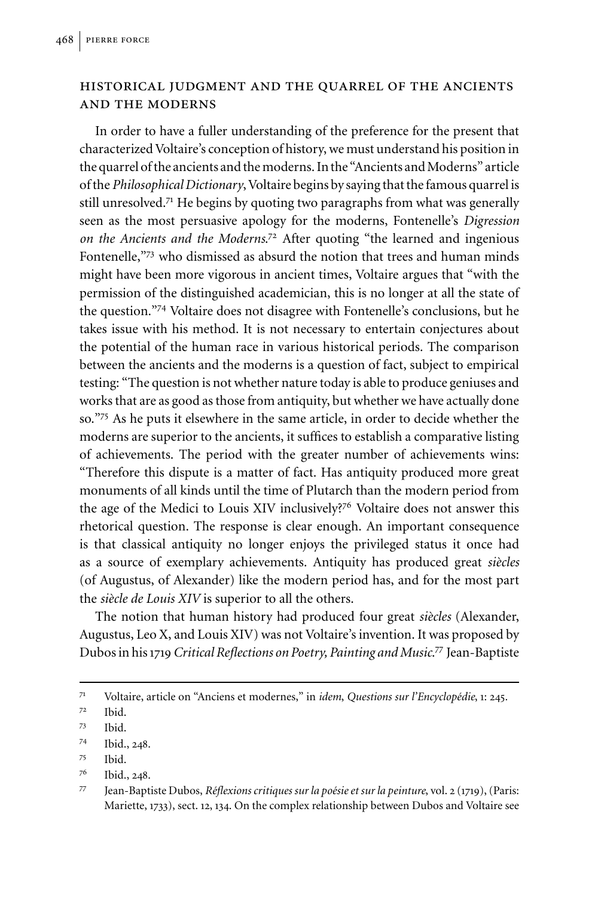# historical judgment and the quarrel of the ancients and the moderns

In order to have a fuller understanding of the preference for the present that characterized Voltaire's conception of history, we must understand his position in the quarrel of the ancients and the moderns. In the "Ancients and Moderns" article of the *Philosophical Dictionary*, Voltaire begins by saying that the famous quarrel is still unresolved.<sup>71</sup> He begins by quoting two paragraphs from what was generally seen as the most persuasive apology for the moderns, Fontenelle's *Digression on the Ancients and the Moderns*. <sup>72</sup> After quoting "the learned and ingenious Fontenelle,"73 who dismissed as absurd the notion that trees and human minds might have been more vigorous in ancient times, Voltaire argues that "with the permission of the distinguished academician, this is no longer at all the state of the question."<sup>74</sup> Voltaire does not disagree with Fontenelle's conclusions, but he takes issue with his method. It is not necessary to entertain conjectures about the potential of the human race in various historical periods. The comparison between the ancients and the moderns is a question of fact, subject to empirical testing: "The question is not whether nature today is able to produce geniuses and works that are as good as those from antiquity, but whether we have actually done so."<sup>75</sup> As he puts it elsewhere in the same article, in order to decide whether the moderns are superior to the ancients, it suffices to establish a comparative listing of achievements. The period with the greater number of achievements wins: "Therefore this dispute is a matter of fact. Has antiquity produced more great monuments of all kinds until the time of Plutarch than the modern period from the age of the Medici to Louis XIV inclusively?<sup>76</sup> Voltaire does not answer this rhetorical question. The response is clear enough. An important consequence is that classical antiquity no longer enjoys the privileged status it once had as a source of exemplary achievements. Antiquity has produced great *siècles* (of Augustus, of Alexander) like the modern period has, and for the most part the *siècle de Louis XIV* is superior to all the others.

The notion that human history had produced four great *siècles* (Alexander, Augustus, Leo X, and Louis XIV) was not Voltaire's invention. It was proposed by Dubos in his1719*Critical Reflections on Poetry, Painting and Music*. <sup>77</sup> Jean-Baptiste

<sup>&</sup>lt;sup>71</sup> Voltaire, article on "Anciens et modernes," in *idem*, *Questions sur l'Encyclopédie*, 1: 245.

<sup>72</sup> Ibid.

<sup>73</sup> Ibid.

<sup>74</sup> Ibid., 248.

<sup>75</sup> Ibid.

<sup>76</sup> Ibid., 248.

<sup>77</sup> Jean-Baptiste Dubos, *R´eflexions critiques sur la po´esie et sur la peinture*, vol. 2 (1719), (Paris: Mariette, 1733), sect. 12, 134. On the complex relationship between Dubos and Voltaire see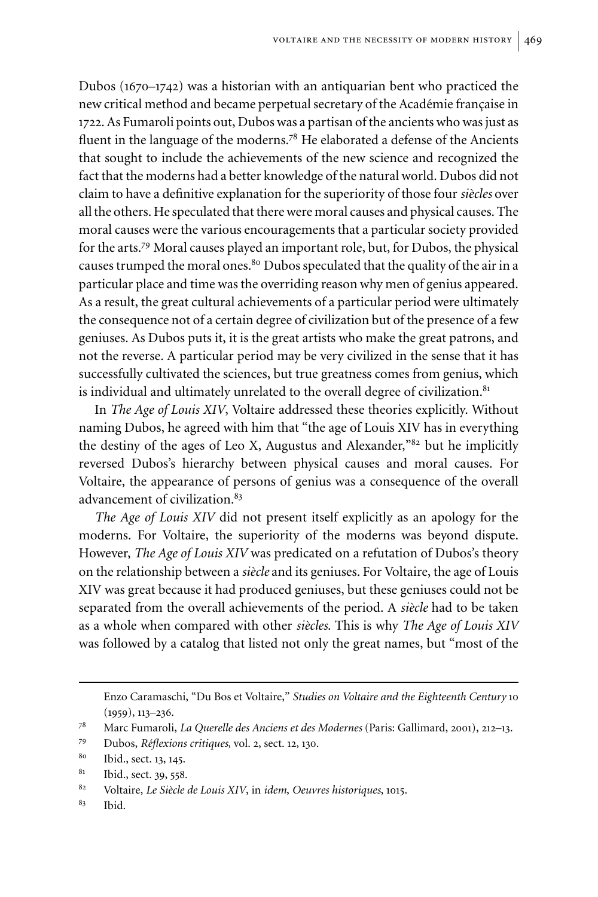Dubos (1670–1742) was a historian with an antiquarian bent who practiced the new critical method and became perpetual secretary of the Académie française in 1722. As Fumaroli points out, Dubos was a partisan of the ancients who was just as fluent in the language of the moderns.<sup>78</sup> He elaborated a defense of the Ancients that sought to include the achievements of the new science and recognized the fact that the moderns had a better knowledge of the natural world. Dubos did not claim to have a definitive explanation for the superiority of those four *siècles* over all the others. He speculated that there were moral causes and physical causes. The moral causes were the various encouragements that a particular society provided for the arts.<sup>79</sup> Moral causes played an important role, but, for Dubos, the physical causes trumped the moral ones.<sup>80</sup> Dubos speculated that the quality of the air in a particular place and time was the overriding reason why men of genius appeared. As a result, the great cultural achievements of a particular period were ultimately the consequence not of a certain degree of civilization but of the presence of a few geniuses. As Dubos puts it, it is the great artists who make the great patrons, and not the reverse. A particular period may be very civilized in the sense that it has successfully cultivated the sciences, but true greatness comes from genius, which is individual and ultimately unrelated to the overall degree of civilization.<sup>81</sup>

In *The Age of Louis XIV*, Voltaire addressed these theories explicitly. Without naming Dubos, he agreed with him that "the age of Louis XIV has in everything the destiny of the ages of Leo X, Augustus and Alexander,"<sup>82</sup> but he implicitly reversed Dubos's hierarchy between physical causes and moral causes. For Voltaire, the appearance of persons of genius was a consequence of the overall advancement of civilization.<sup>83</sup>

*The Age of Louis XIV* did not present itself explicitly as an apology for the moderns. For Voltaire, the superiority of the moderns was beyond dispute. However, *The Age of Louis XIV* was predicated on a refutation of Dubos's theory on the relationship between a *siècle* and its geniuses. For Voltaire, the age of Louis XIV was great because it had produced geniuses, but these geniuses could not be separated from the overall achievements of the period. A *siècle* had to be taken as a whole when compared with other *siècles*. This is why *The Age of Louis XIV* was followed by a catalog that listed not only the great names, but "most of the

Enzo Caramaschi, "Du Bos et Voltaire," *Studies on Voltaire and the Eighteenth Century* 10 (1959), 113–236.

<sup>78</sup> Marc Fumaroli, *La Querelle des Anciens et des Modernes* (Paris: Gallimard, 2001), 212–13.

<sup>79</sup> Dubos, *R´eflexions critiques*, vol. 2, sect. 12, 130.

 $\frac{80}{81}$  Ibid., sect. 13, 145.

 $\frac{81}{82}$  Ibid., sect. 39, 558.

<sup>82</sup> Voltaire, *Le Si`ecle de Louis XIV*, in *idem*, *Oeuvres historiques*, 1015.

 $83$  Ibid.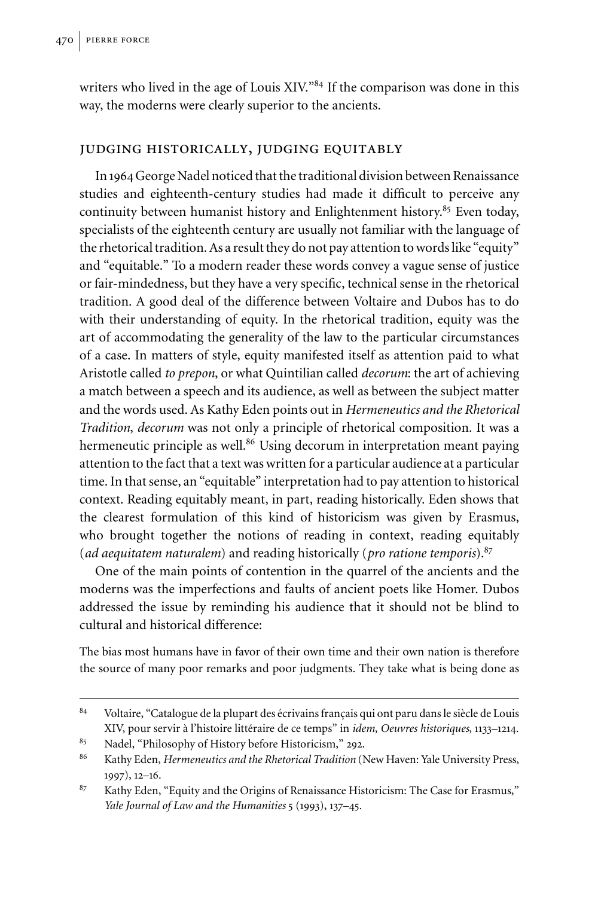writers who lived in the age of Louis XIV."<sup>84</sup> If the comparison was done in this way, the moderns were clearly superior to the ancients.

## judging historically, judging equitably

In 1964 George Nadel noticed that the traditional division between Renaissance studies and eighteenth-century studies had made it difficult to perceive any continuity between humanist history and Enlightenment history.<sup>85</sup> Even today, specialists of the eighteenth century are usually not familiar with the language of the rhetorical tradition. As a result they do not pay attention to words like "equity" and "equitable." To a modern reader these words convey a vague sense of justice or fair-mindedness, but they have a very specific, technical sense in the rhetorical tradition. A good deal of the difference between Voltaire and Dubos has to do with their understanding of equity. In the rhetorical tradition, equity was the art of accommodating the generality of the law to the particular circumstances of a case. In matters of style, equity manifested itself as attention paid to what Aristotle called *to prepon*, or what Quintilian called *decorum*: the art of achieving a match between a speech and its audience, as well as between the subject matter and the words used. As Kathy Eden points out in *Hermeneutics and the Rhetorical Tradition*, *decorum* was not only a principle of rhetorical composition. It was a hermeneutic principle as well.<sup>86</sup> Using decorum in interpretation meant paying attention to the fact that a text was written for a particular audience at a particular time. In that sense, an "equitable" interpretation had to pay attention to historical context. Reading equitably meant, in part, reading historically. Eden shows that the clearest formulation of this kind of historicism was given by Erasmus, who brought together the notions of reading in context, reading equitably (*ad aequitatem naturalem*) and reading historically (*pro ratione temporis*).<sup>87</sup>

One of the main points of contention in the quarrel of the ancients and the moderns was the imperfections and faults of ancient poets like Homer. Dubos addressed the issue by reminding his audience that it should not be blind to cultural and historical difference:

The bias most humans have in favor of their own time and their own nation is therefore the source of many poor remarks and poor judgments. They take what is being done as

<sup>84</sup> Voltaire, "Catalogue de la plupart des écrivains français qui ont paru dans le siècle de Louis XIV, pour servir à l'histoire littéraire de ce temps" in *idem*, *Oeuvres historiques*, 1133-1214.

<sup>&</sup>lt;sup>85</sup> Nadel, "Philosophy of History before Historicism," 292.

<sup>86</sup> Kathy Eden, *Hermeneutics and the Rhetorical Tradition* (New Haven: Yale University Press, 1997), 12–16.

<sup>&</sup>lt;sup>87</sup> Kathy Eden, "Equity and the Origins of Renaissance Historicism: The Case for Erasmus," *Yale Journal of Law and the Humanities* 5 (1993), 137–45.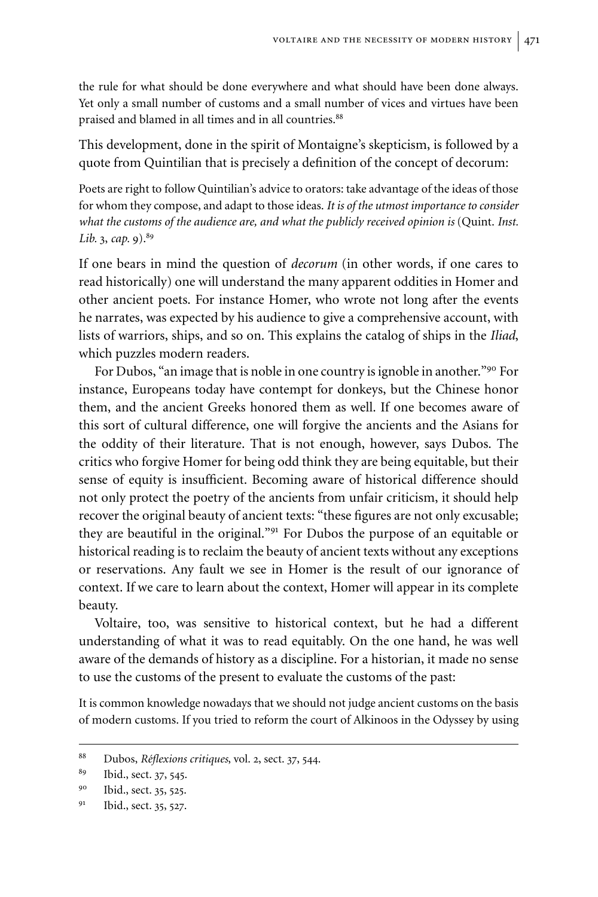the rule for what should be done everywhere and what should have been done always. Yet only a small number of customs and a small number of vices and virtues have been praised and blamed in all times and in all countries.<sup>88</sup>

This development, done in the spirit of Montaigne's skepticism, is followed by a quote from Quintilian that is precisely a definition of the concept of decorum:

Poets are right to follow Quintilian's advice to orators: take advantage of the ideas of those for whom they compose, and adapt to those ideas. *It is of the utmost importance to consider what the customs of the audience are, and what the publicly received opinion is* (Quint. *Inst. Lib.* 3, *cap.* 9).<sup>89</sup>

If one bears in mind the question of *decorum* (in other words, if one cares to read historically) one will understand the many apparent oddities in Homer and other ancient poets. For instance Homer, who wrote not long after the events he narrates, was expected by his audience to give a comprehensive account, with lists of warriors, ships, and so on. This explains the catalog of ships in the *Iliad*, which puzzles modern readers.

For Dubos, "an image that is noble in one country is ignoble in another."<sup>90</sup> For instance, Europeans today have contempt for donkeys, but the Chinese honor them, and the ancient Greeks honored them as well. If one becomes aware of this sort of cultural difference, one will forgive the ancients and the Asians for the oddity of their literature. That is not enough, however, says Dubos. The critics who forgive Homer for being odd think they are being equitable, but their sense of equity is insufficient. Becoming aware of historical difference should not only protect the poetry of the ancients from unfair criticism, it should help recover the original beauty of ancient texts: "these figures are not only excusable; they are beautiful in the original."<sup>91</sup> For Dubos the purpose of an equitable or historical reading is to reclaim the beauty of ancient texts without any exceptions or reservations. Any fault we see in Homer is the result of our ignorance of context. If we care to learn about the context, Homer will appear in its complete beauty.

Voltaire, too, was sensitive to historical context, but he had a different understanding of what it was to read equitably. On the one hand, he was well aware of the demands of history as a discipline. For a historian, it made no sense to use the customs of the present to evaluate the customs of the past:

It is common knowledge nowadays that we should not judge ancient customs on the basis of modern customs. If you tried to reform the court of Alkinoos in the Odyssey by using

<sup>88</sup> Dubos, *R´eflexions critiques*, vol. 2, sect. 37, 544.

Ibid., sect. 37, 545.

<sup>&</sup>lt;sup>90</sup> Ibid., sect. 35, 525.

<sup>&</sup>lt;sup>91</sup> Ibid., sect. 35, 527.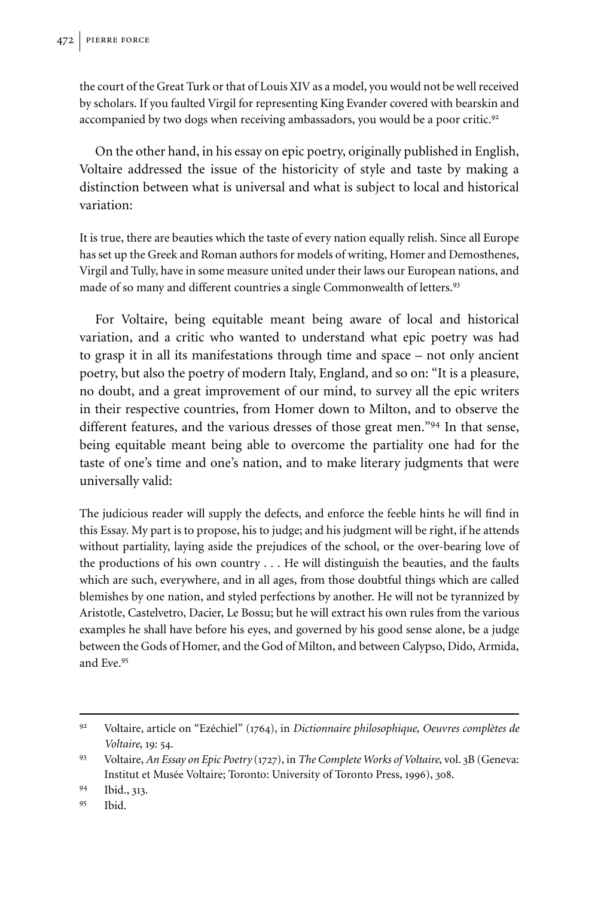the court of the Great Turk or that of Louis XIV as a model, you would not be well received by scholars. If you faulted Virgil for representing King Evander covered with bearskin and accompanied by two dogs when receiving ambassadors, you would be a poor critic.<sup>92</sup>

On the other hand, in his essay on epic poetry, originally published in English, Voltaire addressed the issue of the historicity of style and taste by making a distinction between what is universal and what is subject to local and historical variation:

It is true, there are beauties which the taste of every nation equally relish. Since all Europe has set up the Greek and Roman authors for models of writing, Homer and Demosthenes, Virgil and Tully, have in some measure united under their laws our European nations, and made of so many and different countries a single Commonwealth of letters.<sup>93</sup>

For Voltaire, being equitable meant being aware of local and historical variation, and a critic who wanted to understand what epic poetry was had to grasp it in all its manifestations through time and space – not only ancient poetry, but also the poetry of modern Italy, England, and so on: "It is a pleasure, no doubt, and a great improvement of our mind, to survey all the epic writers in their respective countries, from Homer down to Milton, and to observe the different features, and the various dresses of those great men."<sup>94</sup> In that sense, being equitable meant being able to overcome the partiality one had for the taste of one's time and one's nation, and to make literary judgments that were universally valid:

The judicious reader will supply the defects, and enforce the feeble hints he will find in this Essay. My part is to propose, his to judge; and his judgment will be right, if he attends without partiality, laying aside the prejudices of the school, or the over-bearing love of the productions of his own country . . . He will distinguish the beauties, and the faults which are such, everywhere, and in all ages, from those doubtful things which are called blemishes by one nation, and styled perfections by another. He will not be tyrannized by Aristotle, Castelvetro, Dacier, Le Bossu; but he will extract his own rules from the various examples he shall have before his eyes, and governed by his good sense alone, be a judge between the Gods of Homer, and the God of Milton, and between Calypso, Dido, Armida, and Eve.<sup>95</sup>

<sup>&</sup>lt;sup>92</sup> Voltaire, article on "Ezéchiel" (1764), in *Dictionnaire philosophique*, *Oeuvres complètes de Voltaire*, 19: 54.

<sup>93</sup> Voltaire, *An Essay on Epic Poetry* (1727), in *The Complete Works of Voltaire*, vol.3B (Geneva: Institut et Musée Voltaire; Toronto: University of Toronto Press, 1996), 308.

<sup>94</sup> Ibid., 313.

<sup>95</sup> Ibid.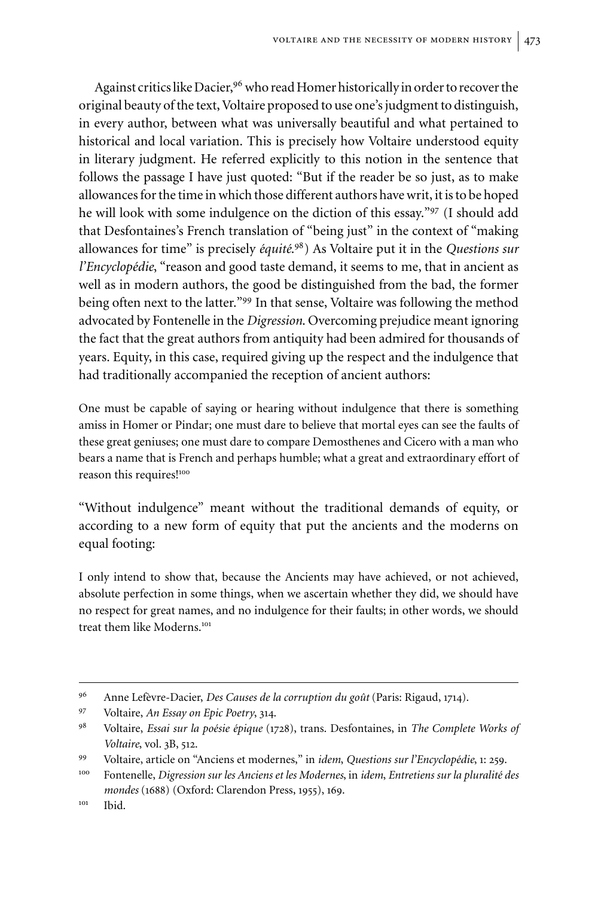Against critics like Dacier,<sup>96</sup> who read Homer historically in order to recover the original beauty of the text, Voltaire proposed to use one's judgment to distinguish, in every author, between what was universally beautiful and what pertained to historical and local variation. This is precisely how Voltaire understood equity in literary judgment. He referred explicitly to this notion in the sentence that follows the passage I have just quoted: "But if the reader be so just, as to make allowances for the time in which those different authors have writ, it is to be hoped he will look with some indulgence on the diction of this essay."<sup>97</sup> (I should add that Desfontaines's French translation of "being just" in the context of "making allowances for time" is precisely équité.<sup>98</sup>) As Voltaire put it in the *Questions sur l'Encyclopédie*, "reason and good taste demand, it seems to me, that in ancient as well as in modern authors, the good be distinguished from the bad, the former being often next to the latter."<sup>99</sup> In that sense, Voltaire was following the method advocated by Fontenelle in the *Digression*. Overcoming prejudice meant ignoring the fact that the great authors from antiquity had been admired for thousands of years. Equity, in this case, required giving up the respect and the indulgence that had traditionally accompanied the reception of ancient authors:

One must be capable of saying or hearing without indulgence that there is something amiss in Homer or Pindar; one must dare to believe that mortal eyes can see the faults of these great geniuses; one must dare to compare Demosthenes and Cicero with a man who bears a name that is French and perhaps humble; what a great and extraordinary effort of reason this requires!<sup>100</sup>

"Without indulgence" meant without the traditional demands of equity, or according to a new form of equity that put the ancients and the moderns on equal footing:

I only intend to show that, because the Ancients may have achieved, or not achieved, absolute perfection in some things, when we ascertain whether they did, we should have no respect for great names, and no indulgence for their faults; in other words, we should treat them like Moderns.<sup>101</sup>

<sup>&</sup>lt;sup>96</sup> Anne Lefèvre-Dacier, *Des Causes de la corruption du goût* (Paris: Rigaud, 1714).

<sup>97</sup> Voltaire, *An Essay on Epic Poetry*, 314.

<sup>&</sup>lt;sup>98</sup> Voltaire, *Essai sur la poésie épique* (1728), trans. Desfontaines, in *The Complete Works of Voltaire*, vol. 3B, 512.

<sup>99</sup> Voltaire, article on "Anciens et modernes," in *idem*, *Questions sur l'Encyclop´edie*, 1: 259.

<sup>&</sup>lt;sup>100</sup> Fontenelle, *Digression sur les Anciens et les Modernes*, in *idem*, *Entretiens sur la pluralité des mondes* (1688) (Oxford: Clarendon Press, 1955), 169.

<sup>101</sup> Ibid.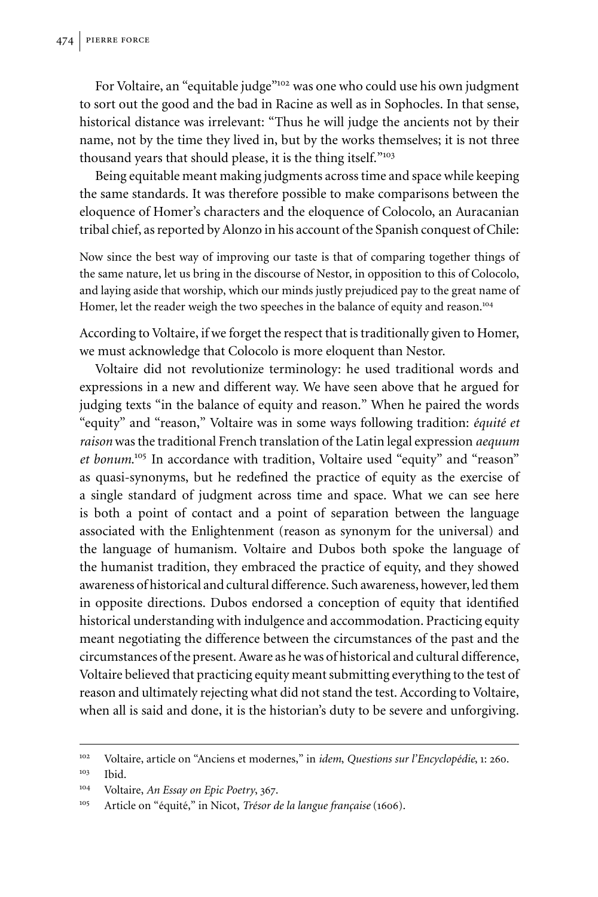For Voltaire, an "equitable judge"<sup>102</sup> was one who could use his own judgment to sort out the good and the bad in Racine as well as in Sophocles. In that sense, historical distance was irrelevant: "Thus he will judge the ancients not by their name, not by the time they lived in, but by the works themselves; it is not three thousand years that should please, it is the thing itself."103

Being equitable meant making judgments across time and space while keeping the same standards. It was therefore possible to make comparisons between the eloquence of Homer's characters and the eloquence of Colocolo, an Auracanian tribal chief, as reported by Alonzo in his account of the Spanish conquest of Chile:

Now since the best way of improving our taste is that of comparing together things of the same nature, let us bring in the discourse of Nestor, in opposition to this of Colocolo, and laying aside that worship, which our minds justly prejudiced pay to the great name of Homer, let the reader weigh the two speeches in the balance of equity and reason.<sup>104</sup>

According to Voltaire, if we forget the respect that is traditionally given to Homer, we must acknowledge that Colocolo is more eloquent than Nestor.

Voltaire did not revolutionize terminology: he used traditional words and expressions in a new and different way. We have seen above that he argued for judging texts "in the balance of equity and reason." When he paired the words "equity" and "reason," Voltaire was in some ways following tradition: équité et *raison* was the traditional French translation of the Latin legal expression *aequum* et bonum.<sup>105</sup> In accordance with tradition, Voltaire used "equity" and "reason" as quasi-synonyms, but he redefined the practice of equity as the exercise of a single standard of judgment across time and space. What we can see here is both a point of contact and a point of separation between the language associated with the Enlightenment (reason as synonym for the universal) and the language of humanism. Voltaire and Dubos both spoke the language of the humanist tradition, they embraced the practice of equity, and they showed awareness of historical and cultural difference. Such awareness, however, led them in opposite directions. Dubos endorsed a conception of equity that identified historical understanding with indulgence and accommodation. Practicing equity meant negotiating the difference between the circumstances of the past and the circumstances of the present. Aware as he was of historical and cultural difference, Voltaire believed that practicing equity meant submitting everything to the test of reason and ultimately rejecting what did not stand the test. According to Voltaire, when all is said and done, it is the historian's duty to be severe and unforgiving.

<sup>&</sup>lt;sup>102</sup> Voltaire, article on "Anciens et modernes," in *idem*, *Questions sur l'Encyclopédie*, 1: 260.

<sup>103</sup> Ibid.

<sup>104</sup> Voltaire, *An Essay on Epic Poetry*, 367.

<sup>&</sup>lt;sup>105</sup> Article on "équité," in Nicot, *Trésor de la langue française* (1606).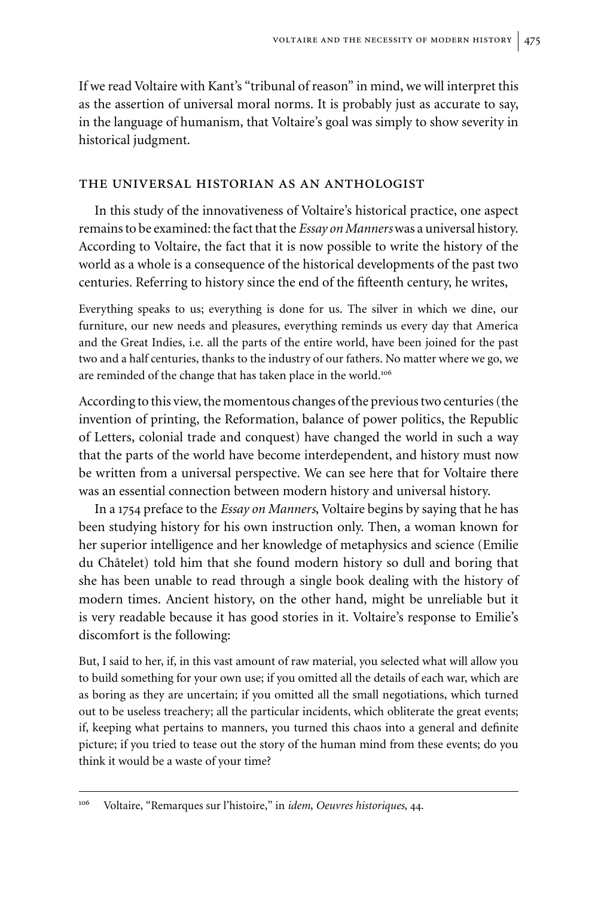If we read Voltaire with Kant's "tribunal of reason" in mind, we will interpret this as the assertion of universal moral norms. It is probably just as accurate to say, in the language of humanism, that Voltaire's goal was simply to show severity in historical judgment.

# the universal historian as an anthologist

In this study of the innovativeness of Voltaire's historical practice, one aspect remains to be examined: the fact that the *Essay on Manners*was a universal history. According to Voltaire, the fact that it is now possible to write the history of the world as a whole is a consequence of the historical developments of the past two centuries. Referring to history since the end of the fifteenth century, he writes,

Everything speaks to us; everything is done for us. The silver in which we dine, our furniture, our new needs and pleasures, everything reminds us every day that America and the Great Indies, i.e. all the parts of the entire world, have been joined for the past two and a half centuries, thanks to the industry of our fathers. No matter where we go, we are reminded of the change that has taken place in the world.<sup>106</sup>

According to this view, the momentous changes of the previous two centuries (the invention of printing, the Reformation, balance of power politics, the Republic of Letters, colonial trade and conquest) have changed the world in such a way that the parts of the world have become interdependent, and history must now be written from a universal perspective. We can see here that for Voltaire there was an essential connection between modern history and universal history.

In a 1754 preface to the *Essay on Manners*, Voltaire begins by saying that he has been studying history for his own instruction only. Then, a woman known for her superior intelligence and her knowledge of metaphysics and science (Emilie du Châtelet) told him that she found modern history so dull and boring that she has been unable to read through a single book dealing with the history of modern times. Ancient history, on the other hand, might be unreliable but it is very readable because it has good stories in it. Voltaire's response to Emilie's discomfort is the following:

But, I said to her, if, in this vast amount of raw material, you selected what will allow you to build something for your own use; if you omitted all the details of each war, which are as boring as they are uncertain; if you omitted all the small negotiations, which turned out to be useless treachery; all the particular incidents, which obliterate the great events; if, keeping what pertains to manners, you turned this chaos into a general and definite picture; if you tried to tease out the story of the human mind from these events; do you think it would be a waste of your time?

<sup>106</sup> Voltaire, "Remarques sur l'histoire," in *idem*, *Oeuvres historiques*, 44.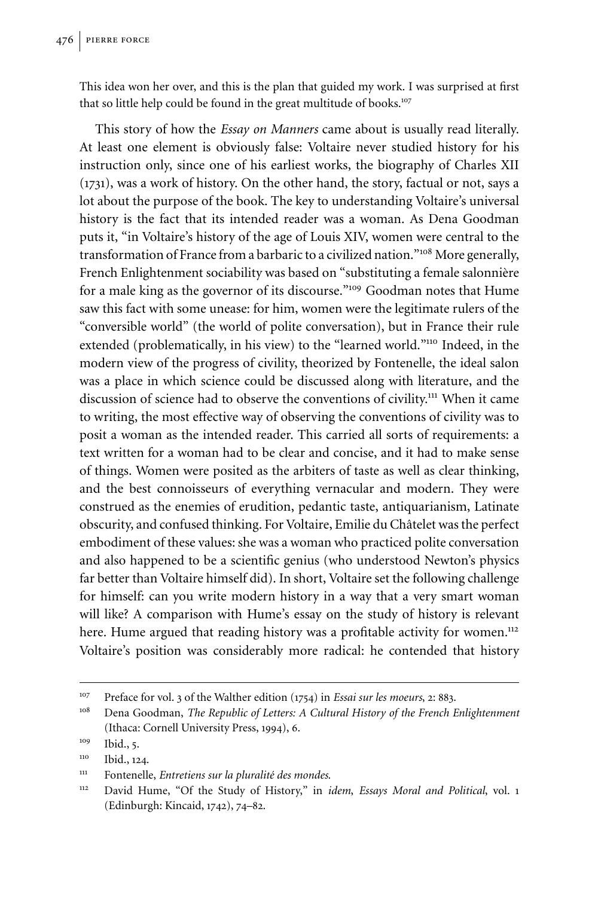This idea won her over, and this is the plan that guided my work. I was surprised at first that so little help could be found in the great multitude of books.<sup>107</sup>

This story of how the *Essay on Manners* came about is usually read literally. At least one element is obviously false: Voltaire never studied history for his instruction only, since one of his earliest works, the biography of Charles XII (1731), was a work of history. On the other hand, the story, factual or not, says a lot about the purpose of the book. The key to understanding Voltaire's universal history is the fact that its intended reader was a woman. As Dena Goodman puts it, "in Voltaire's history of the age of Louis XIV, women were central to the transformation of France from a barbaric to a civilized nation."<sup>108</sup> More generally, French Enlightenment sociability was based on "substituting a female salonnière for a male king as the governor of its discourse."<sup>109</sup> Goodman notes that Hume saw this fact with some unease: for him, women were the legitimate rulers of the "conversible world" (the world of polite conversation), but in France their rule extended (problematically, in his view) to the "learned world."<sup>110</sup> Indeed, in the modern view of the progress of civility, theorized by Fontenelle, the ideal salon was a place in which science could be discussed along with literature, and the discussion of science had to observe the conventions of civility.<sup>111</sup> When it came to writing, the most effective way of observing the conventions of civility was to posit a woman as the intended reader. This carried all sorts of requirements: a text written for a woman had to be clear and concise, and it had to make sense of things. Women were posited as the arbiters of taste as well as clear thinking, and the best connoisseurs of everything vernacular and modern. They were construed as the enemies of erudition, pedantic taste, antiquarianism, Latinate obscurity, and confused thinking. For Voltaire, Emilie du Chatelet was the perfect ˆ embodiment of these values: she was a woman who practiced polite conversation and also happened to be a scientific genius (who understood Newton's physics far better than Voltaire himself did). In short, Voltaire set the following challenge for himself: can you write modern history in a way that a very smart woman will like? A comparison with Hume's essay on the study of history is relevant here. Hume argued that reading history was a profitable activity for women.<sup>112</sup> Voltaire's position was considerably more radical: he contended that history

<sup>107</sup> Preface for vol. 3 of the Walther edition (1754) in *Essai sur les moeurs*, 2: 883.

<sup>108</sup> Dena Goodman, *The Republic of Letters: A Cultural History of the French Enlightenment* (Ithaca: Cornell University Press, 1994), 6.

<sup>109</sup> Ibid., 5.

<sup>110</sup> Ibid., 124.

<sup>&</sup>lt;sup>111</sup> Fontenelle, *Entretiens sur la pluralité des mondes*.

<sup>112</sup> David Hume, "Of the Study of History," in *idem*, *Essays Moral and Political*, vol. 1 (Edinburgh: Kincaid, 1742), 74–82.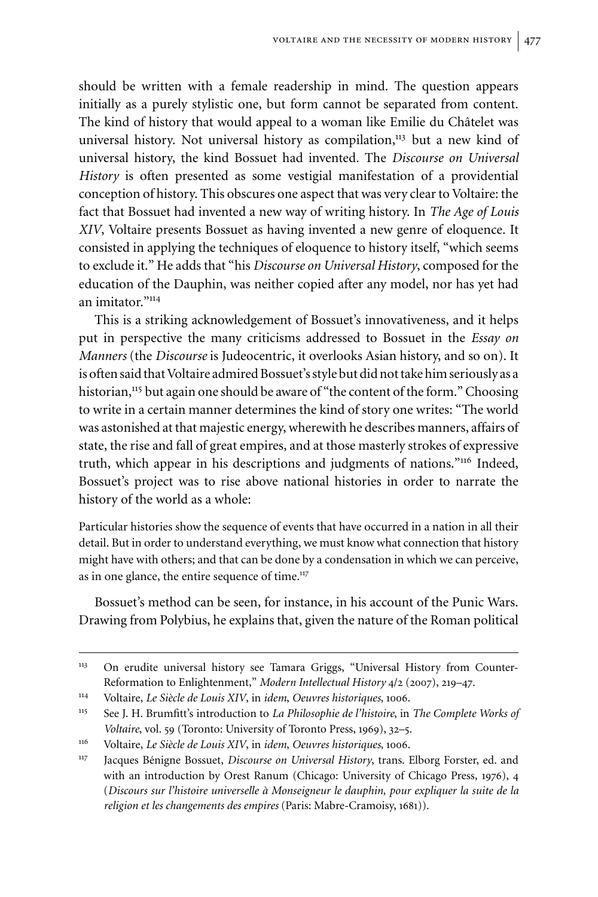should be written with a female readership in mind. The question appears initially as a purely stylistic one, but form cannot be separated from content. The kind of history that would appeal to a woman like Emilie du Châtelet was universal history. Not universal history as compilation,<sup>113</sup> but a new kind of universal history, the kind Bossuet had invented. The *Discourse on Universal History* is often presented as some vestigial manifestation of a providential conception of history. This obscures one aspect that was very clear to Voltaire: the fact that Bossuet had invented a new way of writing history. In *The Age of Louis XIV*, Voltaire presents Bossuet as having invented a new genre of eloquence. It consisted in applying the techniques of eloquence to history itself, "which seems to exclude it." He adds that "his *Discourse on Universal History*, composed for the education of the Dauphin, was neither copied after any model, nor has yet had an imitator."114

This is a striking acknowledgement of Bossuet's innovativeness, and it helps put in perspective the many criticisms addressed to Bossuet in the *Essay on Manners* (the *Discourse* is Judeocentric, it overlooks Asian history, and so on). It is often said that Voltaire admired Bossuet's style but did not take him seriously as a historian,<sup>115</sup> but again one should be aware of "the content of the form." Choosing to write in a certain manner determines the kind of story one writes: "The world was astonished at that majestic energy, wherewith he describes manners, affairs of state, the rise and fall of great empires, and at those masterly strokes of expressive truth, which appear in his descriptions and judgments of nations."<sup>116</sup> Indeed, Bossuet's project was to rise above national histories in order to narrate the history of the world as a whole:

Particular histories show the sequence of events that have occurred in a nation in all their detail. But in order to understand everything, we must know what connection that history might have with others; and that can be done by a condensation in which we can perceive, as in one glance, the entire sequence of time.<sup>117</sup>

Bossuet's method can be seen, for instance, in his account of the Punic Wars. Drawing from Polybius, he explains that, given the nature of the Roman political

<sup>&</sup>lt;sup>113</sup> On erudite universal history see Tamara Griggs, "Universal History from Counter-Reformation to Enlightenment," *Modern Intellectual History* 4/2 (2007), 219–47.

<sup>&</sup>lt;sup>114</sup> Voltaire, *Le Siècle de Louis XIV*, in *idem*, *Oeuvres historiques*, 1006.

<sup>115</sup> See J. H. Brumfitt's introduction to *La Philosophie de l'histoire*, in *The Complete Works of Voltaire*, vol. 59 (Toronto: University of Toronto Press, 1969), 32–5.

<sup>&</sup>lt;sup>116</sup> Voltaire, *Le Siècle de Louis XIV*, in *idem*, *Oeuvres historiques*, 1006.

<sup>&</sup>lt;sup>117</sup> Jacques Bénigne Bossuet, *Discourse on Universal History*, trans. Elborg Forster, ed. and with an introduction by Orest Ranum (Chicago: University of Chicago Press, 1976), 4 (*Discours sur l'histoire universelle `a Monseigneur le dauphin, pour expliquer la suite de la religion et les changements des empires* (Paris: Mabre-Cramoisy, 1681)).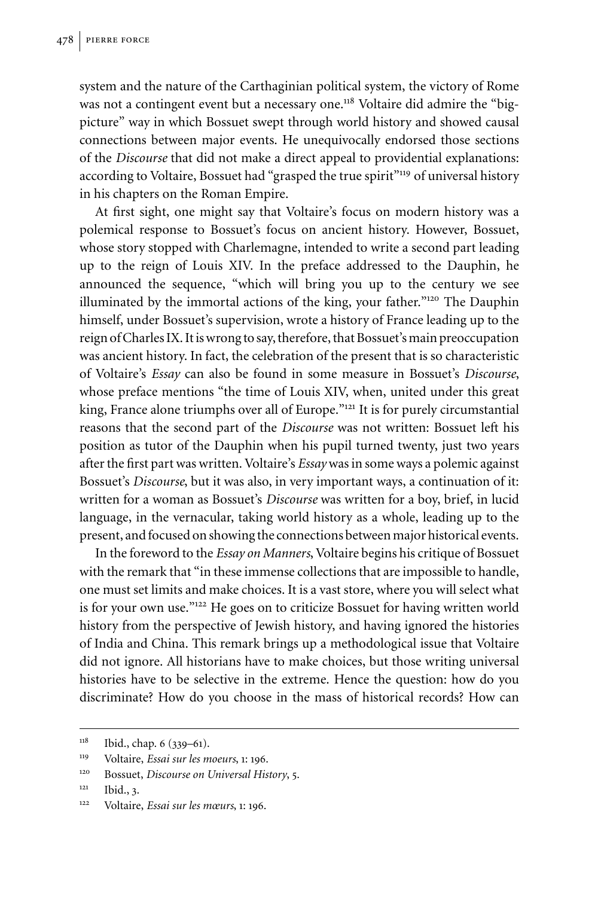system and the nature of the Carthaginian political system, the victory of Rome was not a contingent event but a necessary one.<sup>118</sup> Voltaire did admire the "bigpicture" way in which Bossuet swept through world history and showed causal connections between major events. He unequivocally endorsed those sections of the *Discourse* that did not make a direct appeal to providential explanations: according to Voltaire, Bossuet had "grasped the true spirit"<sup>119</sup> of universal history in his chapters on the Roman Empire.

At first sight, one might say that Voltaire's focus on modern history was a polemical response to Bossuet's focus on ancient history. However, Bossuet, whose story stopped with Charlemagne, intended to write a second part leading up to the reign of Louis XIV. In the preface addressed to the Dauphin, he announced the sequence, "which will bring you up to the century we see illuminated by the immortal actions of the king, your father."<sup>120</sup> The Dauphin himself, under Bossuet's supervision, wrote a history of France leading up to the reign of Charles IX. It is wrong to say, therefore, that Bossuet's main preoccupation was ancient history. In fact, the celebration of the present that is so characteristic of Voltaire's *Essay* can also be found in some measure in Bossuet's *Discourse*, whose preface mentions "the time of Louis XIV, when, united under this great king, France alone triumphs over all of Europe."<sup>121</sup> It is for purely circumstantial reasons that the second part of the *Discourse* was not written: Bossuet left his position as tutor of the Dauphin when his pupil turned twenty, just two years after the first part was written. Voltaire's *Essay* was in some ways a polemic against Bossuet's *Discourse*, but it was also, in very important ways, a continuation of it: written for a woman as Bossuet's *Discourse* was written for a boy, brief, in lucid language, in the vernacular, taking world history as a whole, leading up to the present, and focused on showing the connections between major historical events.

In the foreword to the *Essay on Manners*, Voltaire begins his critique of Bossuet with the remark that "in these immense collections that are impossible to handle, one must set limits and make choices. It is a vast store, where you will select what is for your own use."<sup>122</sup> He goes on to criticize Bossuet for having written world history from the perspective of Jewish history, and having ignored the histories of India and China. This remark brings up a methodological issue that Voltaire did not ignore. All historians have to make choices, but those writing universal histories have to be selective in the extreme. Hence the question: how do you discriminate? How do you choose in the mass of historical records? How can

 $118$  Ibid., chap. 6 (339–61).

<sup>119</sup> Voltaire, *Essai sur les moeurs*, 1: 196.

<sup>120</sup> Bossuet, *Discourse on Universal History*, 5.

 $121$  Ibid., 3.

<sup>122</sup> Voltaire, *Essai sur les mœurs*, 1: 196.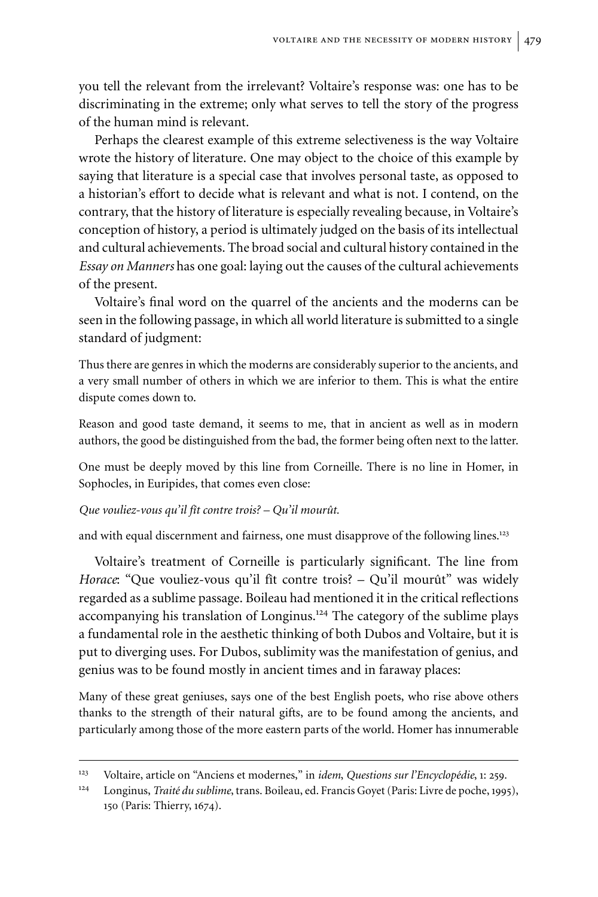you tell the relevant from the irrelevant? Voltaire's response was: one has to be discriminating in the extreme; only what serves to tell the story of the progress of the human mind is relevant.

Perhaps the clearest example of this extreme selectiveness is the way Voltaire wrote the history of literature. One may object to the choice of this example by saying that literature is a special case that involves personal taste, as opposed to a historian's effort to decide what is relevant and what is not. I contend, on the contrary, that the history of literature is especially revealing because, in Voltaire's conception of history, a period is ultimately judged on the basis of its intellectual and cultural achievements. The broad social and cultural history contained in the *Essay on Manners* has one goal: laying out the causes of the cultural achievements of the present.

Voltaire's final word on the quarrel of the ancients and the moderns can be seen in the following passage, in which all world literature is submitted to a single standard of judgment:

Thus there are genres in which the moderns are considerably superior to the ancients, and a very small number of others in which we are inferior to them. This is what the entire dispute comes down to.

Reason and good taste demand, it seems to me, that in ancient as well as in modern authors, the good be distinguished from the bad, the former being often next to the latter.

One must be deeply moved by this line from Corneille. There is no line in Homer, in Sophocles, in Euripides, that comes even close:

Que vouliez-vous qu'il fît contre trois? – Qu'il mourût.

and with equal discernment and fairness, one must disapprove of the following lines.<sup>123</sup>

Voltaire's treatment of Corneille is particularly significant. The line from *Horace*: "Que vouliez-vous qu'il fit contre trois? – Qu'il mourût" was widely regarded as a sublime passage. Boileau had mentioned it in the critical reflections accompanying his translation of Longinus.<sup>124</sup> The category of the sublime plays a fundamental role in the aesthetic thinking of both Dubos and Voltaire, but it is put to diverging uses. For Dubos, sublimity was the manifestation of genius, and genius was to be found mostly in ancient times and in faraway places:

Many of these great geniuses, says one of the best English poets, who rise above others thanks to the strength of their natural gifts, are to be found among the ancients, and particularly among those of the more eastern parts of the world. Homer has innumerable

<sup>&</sup>lt;sup>123</sup> Voltaire, article on "Anciens et modernes," in *idem*, *Questions sur l'Encyclopédie*, 1: 259.

<sup>&</sup>lt;sup>124</sup> Longinus, *Traité du sublime*, trans. Boileau, ed. Francis Goyet (Paris: Livre de poche, 1995), 150 (Paris: Thierry, 1674).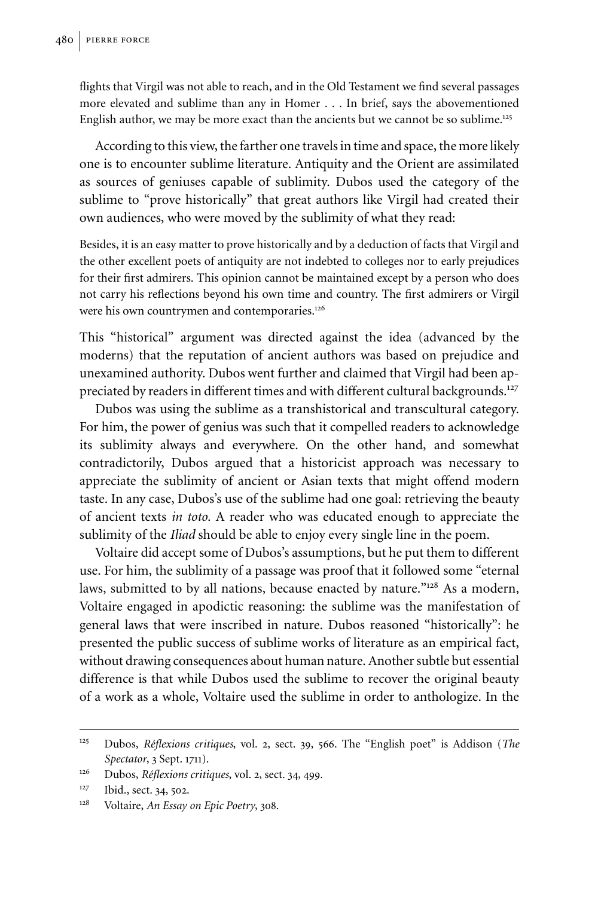flights that Virgil was not able to reach, and in the Old Testament we find several passages more elevated and sublime than any in Homer . . . In brief, says the abovementioned English author, we may be more exact than the ancients but we cannot be so sublime.<sup>125</sup>

According to this view, the farther one travels in time and space, the more likely one is to encounter sublime literature. Antiquity and the Orient are assimilated as sources of geniuses capable of sublimity. Dubos used the category of the sublime to "prove historically" that great authors like Virgil had created their own audiences, who were moved by the sublimity of what they read:

Besides, it is an easy matter to prove historically and by a deduction of facts that Virgil and the other excellent poets of antiquity are not indebted to colleges nor to early prejudices for their first admirers. This opinion cannot be maintained except by a person who does not carry his reflections beyond his own time and country. The first admirers or Virgil were his own countrymen and contemporaries.<sup>126</sup>

This "historical" argument was directed against the idea (advanced by the moderns) that the reputation of ancient authors was based on prejudice and unexamined authority. Dubos went further and claimed that Virgil had been appreciated by readers in different times and with different cultural backgrounds.<sup>127</sup>

Dubos was using the sublime as a transhistorical and transcultural category. For him, the power of genius was such that it compelled readers to acknowledge its sublimity always and everywhere. On the other hand, and somewhat contradictorily, Dubos argued that a historicist approach was necessary to appreciate the sublimity of ancient or Asian texts that might offend modern taste. In any case, Dubos's use of the sublime had one goal: retrieving the beauty of ancient texts *in toto*. A reader who was educated enough to appreciate the sublimity of the *Iliad* should be able to enjoy every single line in the poem.

Voltaire did accept some of Dubos's assumptions, but he put them to different use. For him, the sublimity of a passage was proof that it followed some "eternal laws, submitted to by all nations, because enacted by nature."<sup>128</sup> As a modern, Voltaire engaged in apodictic reasoning: the sublime was the manifestation of general laws that were inscribed in nature. Dubos reasoned "historically": he presented the public success of sublime works of literature as an empirical fact, without drawing consequences about human nature. Another subtle but essential difference is that while Dubos used the sublime to recover the original beauty of a work as a whole, Voltaire used the sublime in order to anthologize. In the

<sup>125</sup> Dubos, *R´eflexions critiques*, vol. 2, sect. 39, 566. The "English poet" is Addison (*The Spectator*, 3 Sept. 1711).

<sup>126</sup> Dubos, *R´eflexions critiques*, vol. 2, sect. 34, 499.

<sup>127</sup> Ibid., sect. 34, 502.

<sup>128</sup> Voltaire, *An Essay on Epic Poetry*, 308.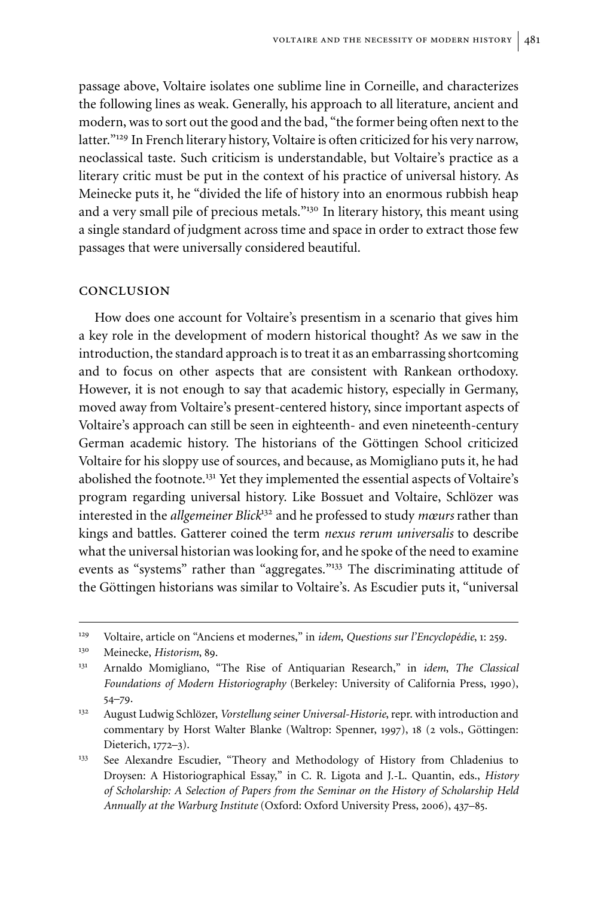passage above, Voltaire isolates one sublime line in Corneille, and characterizes the following lines as weak. Generally, his approach to all literature, ancient and modern, was to sort out the good and the bad, "the former being often next to the latter."<sup>129</sup> In French literary history, Voltaire is often criticized for his very narrow, neoclassical taste. Such criticism is understandable, but Voltaire's practice as a literary critic must be put in the context of his practice of universal history. As Meinecke puts it, he "divided the life of history into an enormous rubbish heap and a very small pile of precious metals."<sup>130</sup> In literary history, this meant using a single standard of judgment across time and space in order to extract those few passages that were universally considered beautiful.

### conclusion

How does one account for Voltaire's presentism in a scenario that gives him a key role in the development of modern historical thought? As we saw in the introduction, the standard approach is to treat it as an embarrassing shortcoming and to focus on other aspects that are consistent with Rankean orthodoxy. However, it is not enough to say that academic history, especially in Germany, moved away from Voltaire's present-centered history, since important aspects of Voltaire's approach can still be seen in eighteenth- and even nineteenth-century German academic history. The historians of the Göttingen School criticized Voltaire for his sloppy use of sources, and because, as Momigliano puts it, he had abolished the footnote.<sup>131</sup> Yet they implemented the essential aspects of Voltaire's program regarding universal history. Like Bossuet and Voltaire, Schlozer was ¨ interested in the *allgemeiner Blick*<sup>132</sup> and he professed to study *mœurs* rather than kings and battles. Gatterer coined the term *nexus rerum universalis* to describe what the universal historian was looking for, and he spoke of the need to examine events as "systems" rather than "aggregates."<sup>133</sup> The discriminating attitude of the Göttingen historians was similar to Voltaire's. As Escudier puts it, "universal

<sup>&</sup>lt;sup>129</sup> Voltaire, article on "Anciens et modernes," in *idem*, *Questions sur l'Encyclopédie*, 1: 259.

<sup>130</sup> Meinecke, *Historism*, 89.

<sup>131</sup> Arnaldo Momigliano, "The Rise of Antiquarian Research," in *idem*, *The Classical Foundations of Modern Historiography* (Berkeley: University of California Press, 1990), 54–79.

<sup>&</sup>lt;sup>132</sup> August Ludwig Schlözer, *Vorstellung seiner Universal-Historie*, repr. with introduction and commentary by Horst Walter Blanke (Waltrop: Spenner, 1997), 18 (2 vols., Göttingen: Dieterich, 1772–3).

<sup>&</sup>lt;sup>133</sup> See Alexandre Escudier, "Theory and Methodology of History from Chladenius to Droysen: A Historiographical Essay," in C. R. Ligota and J.-L. Quantin, eds., *History of Scholarship: A Selection of Papers from the Seminar on the History of Scholarship Held Annually at the Warburg Institute* (Oxford: Oxford University Press, 2006), 437–85.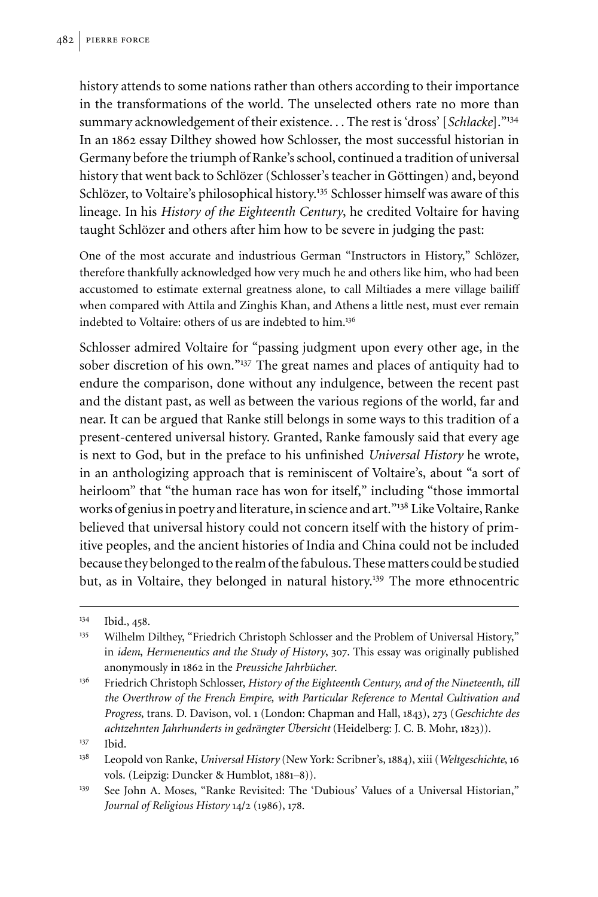history attends to some nations rather than others according to their importance in the transformations of the world. The unselected others rate no more than summary acknowledgement of their existence. . . The rest is 'dross' [*Schlacke*]."<sup>134</sup> In an 1862 essay Dilthey showed how Schlosser, the most successful historian in Germany before the triumph of Ranke's school, continued a tradition of universal history that went back to Schlözer (Schlosser's teacher in Göttingen) and, beyond Schlözer, to Voltaire's philosophical history.<sup>135</sup> Schlosser himself was aware of this lineage. In his *History of the Eighteenth Century*, he credited Voltaire for having taught Schlözer and others after him how to be severe in judging the past:

One of the most accurate and industrious German "Instructors in History," Schlözer, therefore thankfully acknowledged how very much he and others like him, who had been accustomed to estimate external greatness alone, to call Miltiades a mere village bailiff when compared with Attila and Zinghis Khan, and Athens a little nest, must ever remain indebted to Voltaire: others of us are indebted to him.<sup>136</sup>

Schlosser admired Voltaire for "passing judgment upon every other age, in the sober discretion of his own."<sup>137</sup> The great names and places of antiquity had to endure the comparison, done without any indulgence, between the recent past and the distant past, as well as between the various regions of the world, far and near. It can be argued that Ranke still belongs in some ways to this tradition of a present-centered universal history. Granted, Ranke famously said that every age is next to God, but in the preface to his unfinished *Universal History* he wrote, in an anthologizing approach that is reminiscent of Voltaire's, about "a sort of heirloom" that "the human race has won for itself," including "those immortal works of genius in poetry and literature, in science and art."<sup>138</sup> Like Voltaire, Ranke believed that universal history could not concern itself with the history of primitive peoples, and the ancient histories of India and China could not be included because they belonged to the realm of the fabulous. These matters could be studied but, as in Voltaire, they belonged in natural history.<sup>139</sup> The more ethnocentric

<sup>134</sup> Ibid., 458.

<sup>&</sup>lt;sup>135</sup> Wilhelm Dilthey, "Friedrich Christoph Schlosser and the Problem of Universal History," in *idem*, *Hermeneutics and the Study of History*, 307. This essay was originally published anonymously in 1862 in the Preussiche Jahrbücher.

<sup>&</sup>lt;sup>136</sup> Friedrich Christoph Schlosser, *History of the Eighteenth Century, and of the Nineteenth, till the Overthrow of the French Empire, with Particular Reference to Mental Cultivation and Progress*, trans. D. Davison, vol. 1 (London: Chapman and Hall, 1843), 273 (*Geschichte des achtzehnten Jahrhunderts in gedr¨angter Ubersicht ¨* (Heidelberg: J. C. B. Mohr, 1823)).

<sup>137</sup> Ibid.

<sup>138</sup> Leopold von Ranke, *Universal History* (New York: Scribner's, 1884), xiii (*Weltgeschichte*, 16 vols. (Leipzig: Duncker & Humblot, 1881–8)).

<sup>&</sup>lt;sup>139</sup> See John A. Moses, "Ranke Revisited: The 'Dubious' Values of a Universal Historian," *Journal of Religious History* 14/2 (1986), 178.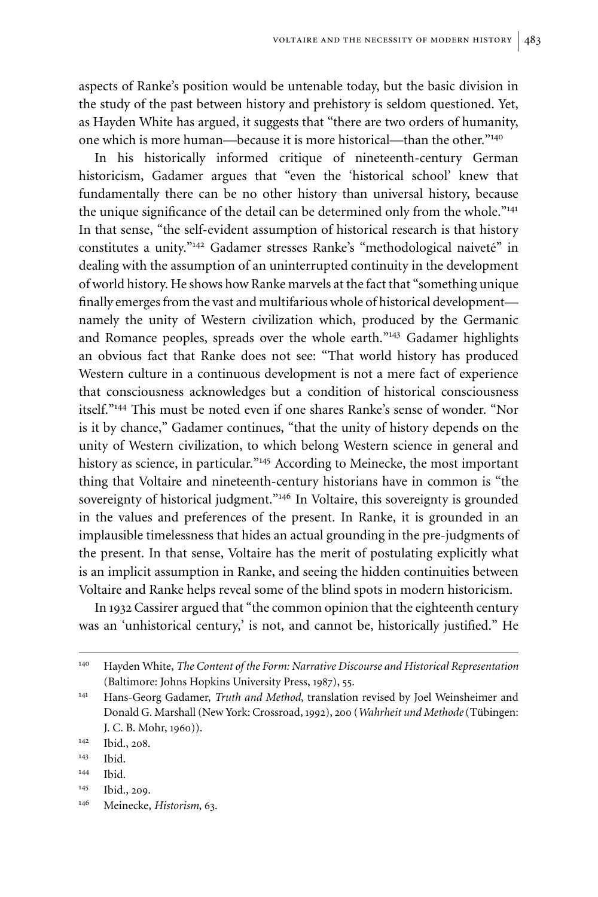aspects of Ranke's position would be untenable today, but the basic division in the study of the past between history and prehistory is seldom questioned. Yet, as Hayden White has argued, it suggests that "there are two orders of humanity, one which is more human—because it is more historical—than the other."<sup>140</sup>

In his historically informed critique of nineteenth-century German historicism, Gadamer argues that "even the 'historical school' knew that fundamentally there can be no other history than universal history, because the unique significance of the detail can be determined only from the whole."<sup>141</sup> In that sense, "the self-evident assumption of historical research is that history constitutes a unity."<sup>142</sup> Gadamer stresses Ranke's "methodological naiveté" in dealing with the assumption of an uninterrupted continuity in the development of world history. He shows how Ranke marvels at the fact that "something unique finally emerges from the vast and multifarious whole of historical development namely the unity of Western civilization which, produced by the Germanic and Romance peoples, spreads over the whole earth."<sup>143</sup> Gadamer highlights an obvious fact that Ranke does not see: "That world history has produced Western culture in a continuous development is not a mere fact of experience that consciousness acknowledges but a condition of historical consciousness itself."<sup>144</sup> This must be noted even if one shares Ranke's sense of wonder. "Nor is it by chance," Gadamer continues, "that the unity of history depends on the unity of Western civilization, to which belong Western science in general and history as science, in particular."<sup>145</sup> According to Meinecke, the most important thing that Voltaire and nineteenth-century historians have in common is "the sovereignty of historical judgment."<sup>146</sup> In Voltaire, this sovereignty is grounded in the values and preferences of the present. In Ranke, it is grounded in an implausible timelessness that hides an actual grounding in the pre-judgments of the present. In that sense, Voltaire has the merit of postulating explicitly what is an implicit assumption in Ranke, and seeing the hidden continuities between Voltaire and Ranke helps reveal some of the blind spots in modern historicism.

In 1932 Cassirer argued that "the common opinion that the eighteenth century was an 'unhistorical century,' is not, and cannot be, historically justified." He

<sup>140</sup> Hayden White, *The Content of the Form: Narrative Discourse and Historical Representation* (Baltimore: Johns Hopkins University Press, 1987), 55.

<sup>141</sup> Hans-Georg Gadamer, *Truth and Method*, translation revised by Joel Weinsheimer and Donald G. Marshall (New York: Crossroad, 1992), 200 (*Wahrheit und Methode*(Tubingen: ¨ J. C. B. Mohr, 1960)).

<sup>142</sup> Ibid., 208.

<sup>143</sup> Ibid.

<sup>144</sup> Ibid.

<sup>145</sup> Ibid., 209.

<sup>146</sup> Meinecke, *Historism*, 63.